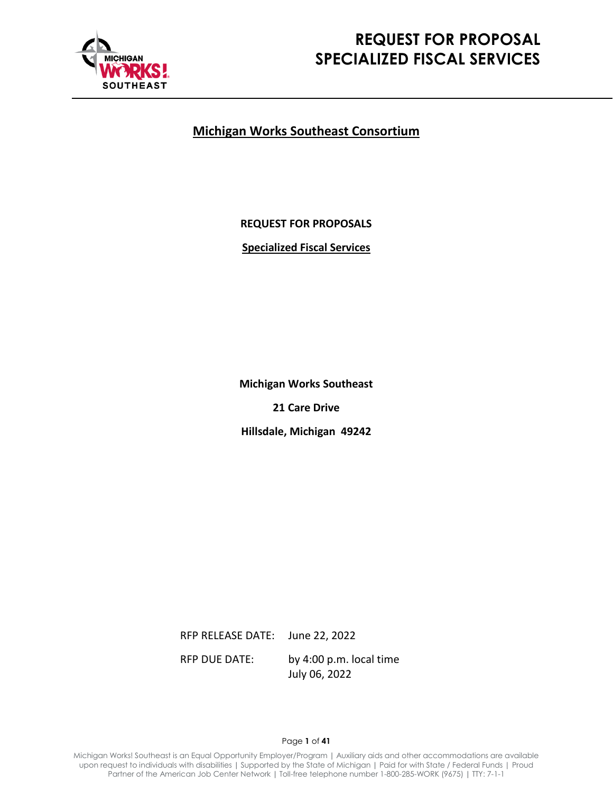

# **REQUEST FOR PROPOSAL SPECIALIZED FISCAL SERVICES**

# **Michigan Works Southeast Consortium**

**REQUEST FOR PROPOSALS**

**Specialized Fiscal Services**

**Michigan Works Southeast 21 Care Drive**

**Hillsdale, Michigan 49242**

RFP RELEASE DATE: June 22, 2022 RFP DUE DATE: by 4:00 p.m. local time July 06, 2022

Page **1** of **41**

Michigan Works! Southeast is an Equal Opportunity Employer/Program **|** Auxiliary aids and other accommodations are available upon request to individuals with disabilities **|** Supported by the State of Michigan **|** Paid for with State / Federal Funds | Proud Partner of the American Job Center Network **|** Toll-free telephone number 1-800-285-WORK (9675) **|** TTY: 7-1-1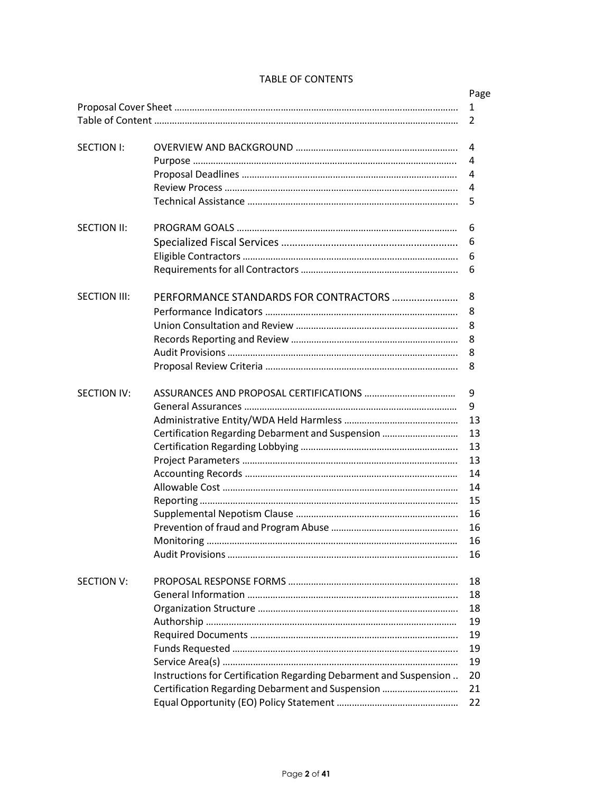|                     |                                                                   | Page |
|---------------------|-------------------------------------------------------------------|------|
|                     |                                                                   |      |
|                     |                                                                   | 2    |
|                     |                                                                   |      |
| <b>SECTION I:</b>   |                                                                   | 4    |
|                     |                                                                   | 4    |
|                     |                                                                   | 4    |
|                     |                                                                   | 4    |
|                     |                                                                   | 5    |
| SECTION II:         |                                                                   | 6    |
|                     |                                                                   | 6    |
|                     |                                                                   | 6    |
|                     |                                                                   | 6    |
|                     |                                                                   |      |
| <b>SECTION III:</b> | PERFORMANCE STANDARDS FOR CONTRACTORS                             | 8    |
|                     |                                                                   | 8    |
|                     |                                                                   | 8    |
|                     |                                                                   | 8    |
|                     |                                                                   | 8    |
|                     |                                                                   | 8    |
|                     |                                                                   |      |
| <b>SECTION IV:</b>  |                                                                   | 9    |
|                     |                                                                   | 9    |
|                     |                                                                   | 13   |
|                     | Certification Regarding Debarment and Suspension                  | 13   |
|                     |                                                                   | 13   |
|                     |                                                                   | 13   |
|                     |                                                                   | 14   |
|                     |                                                                   | 14   |
|                     |                                                                   | 15   |
|                     |                                                                   | 16   |
|                     |                                                                   | 16   |
|                     |                                                                   | 16   |
|                     |                                                                   | 16   |
|                     |                                                                   |      |
| SECTION V:          |                                                                   | 18   |
|                     |                                                                   | 18   |
|                     |                                                                   | 18   |
|                     |                                                                   | 19   |
|                     |                                                                   | 19   |
|                     |                                                                   | 19   |
|                     |                                                                   | 19   |
|                     | Instructions for Certification Regarding Debarment and Suspension | 20   |
|                     | Certification Regarding Debarment and Suspension                  | 21   |
|                     |                                                                   | 22   |
|                     |                                                                   |      |

# TABLE OF CONTENTS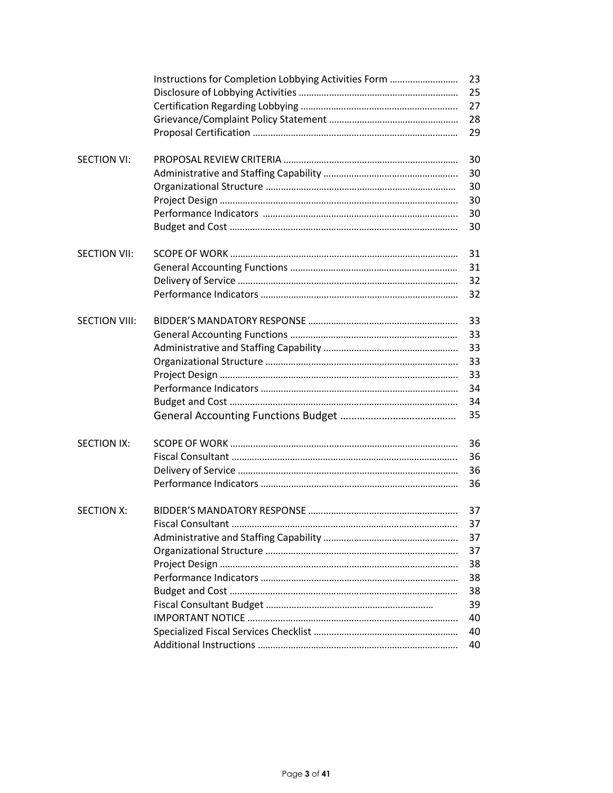|                      | Instructions for Completion Lobbying Activities Form | 23 |
|----------------------|------------------------------------------------------|----|
|                      |                                                      | 25 |
|                      |                                                      | 27 |
|                      |                                                      | 28 |
|                      |                                                      | 29 |
| <b>SECTION VI:</b>   |                                                      | 30 |
|                      |                                                      | 30 |
|                      |                                                      | 30 |
|                      |                                                      | 30 |
|                      |                                                      | 30 |
|                      |                                                      | 30 |
| <b>SECTION VII:</b>  |                                                      | 31 |
|                      |                                                      | 31 |
|                      |                                                      | 32 |
|                      |                                                      | 32 |
| <b>SECTION VIII:</b> |                                                      | 33 |
|                      |                                                      | 33 |
|                      |                                                      | 33 |
|                      |                                                      | 33 |
|                      |                                                      | 33 |
|                      |                                                      | 34 |
|                      |                                                      | 34 |
|                      |                                                      | 35 |
| <b>SECTION IX:</b>   |                                                      | 36 |
|                      |                                                      | 36 |
|                      |                                                      | 36 |
|                      |                                                      | 36 |
| <b>SECTION X:</b>    |                                                      | 37 |
|                      |                                                      | 37 |
|                      |                                                      | 37 |
|                      |                                                      | 37 |
|                      |                                                      | 38 |
|                      |                                                      | 38 |
|                      |                                                      | 38 |
|                      |                                                      | 39 |
|                      |                                                      | 40 |
|                      |                                                      | 40 |
|                      |                                                      | 40 |
|                      |                                                      |    |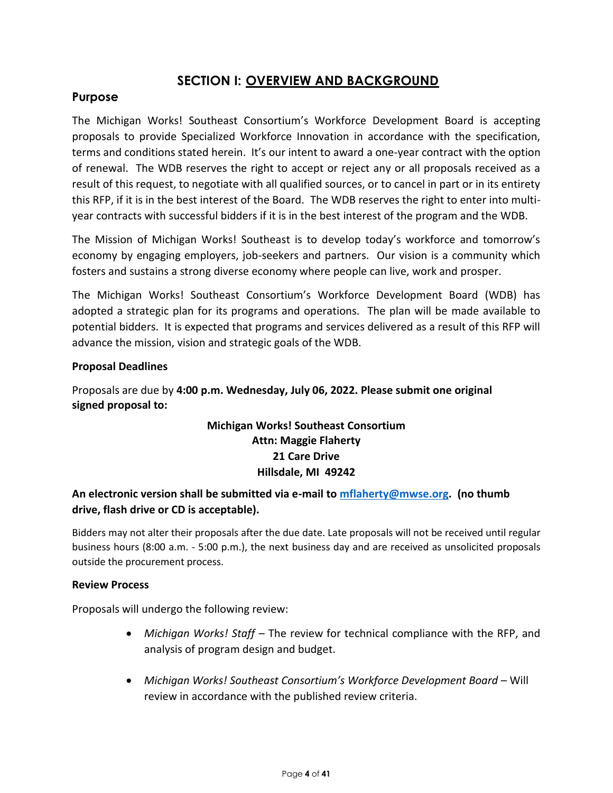# **SECTION I: OVERVIEW AND BACKGROUND**

# **Purpose**

The Michigan Works! Southeast Consortium's Workforce Development Board is accepting proposals to provide Specialized Workforce Innovation in accordance with the specification, terms and conditions stated herein. It's our intent to award a one-year contract with the option of renewal. The WDB reserves the right to accept or reject any or all proposals received as a result of this request, to negotiate with all qualified sources, or to cancel in part or in its entirety this RFP, if it is in the best interest of the Board. The WDB reserves the right to enter into multiyear contracts with successful bidders if it is in the best interest of the program and the WDB.

The Mission of Michigan Works! Southeast is to develop today's workforce and tomorrow's economy by engaging employers, job-seekers and partners. Our vision is a community which fosters and sustains a strong diverse economy where people can live, work and prosper.

The Michigan Works! Southeast Consortium's Workforce Development Board (WDB) has adopted a strategic plan for its programs and operations. The plan will be made available to potential bidders. It is expected that programs and services delivered as a result of this RFP will advance the mission, vision and strategic goals of the WDB.

# **Proposal Deadlines**

Proposals are due by **4:00 p.m. Wednesday, July 06, 2022. Please submit one original signed proposal to:**

# **Michigan Works! Southeast Consortium Attn: Maggie Flaherty 21 Care Drive Hillsdale, MI 49242**

# **An electronic version shall be submitted via e-mail to [mflaherty@mwse.org.](mailto:mflaherty@mwse.org) (no thumb drive, flash drive or CD is acceptable).**

Bidders may not alter their proposals after the due date. Late proposals will not be received until regular business hours (8:00 a.m. - 5:00 p.m.), the next business day and are received as unsolicited proposals outside the procurement process.

#### **Review Process**

Proposals will undergo the following review:

- *Michigan Works! Staff*  The review for technical compliance with the RFP, and analysis of program design and budget.
- Michigan Works! Southeast Consortium's Workforce Development Board Will review in accordance with the published review criteria.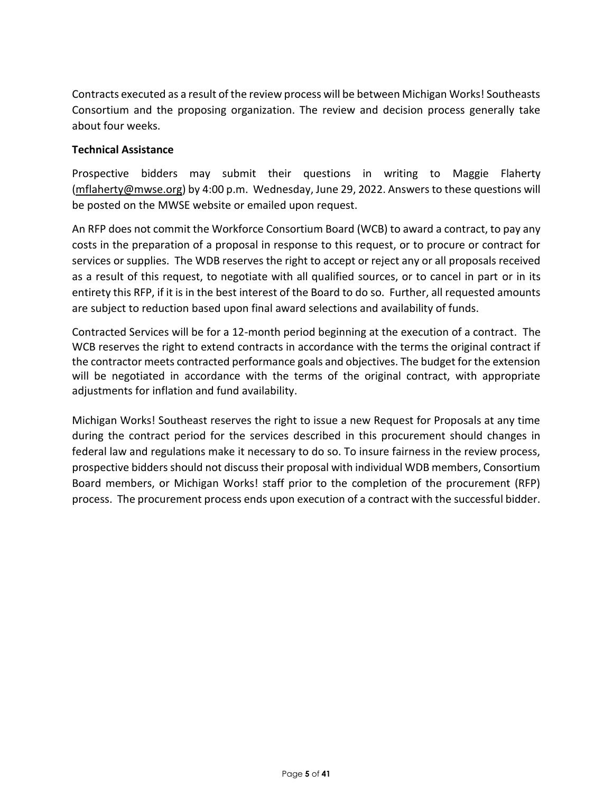Contracts executed as a result of the review process will be between Michigan Works! Southeasts Consortium and the proposing organization. The review and decision process generally take about four weeks.

# **Technical Assistance**

Prospective bidders may submit their questions in writing to Maggie Flaherty (mflahert[y@mwse.org\)](mailto:rhill@mwse.org) by 4:00 p.m. Wednesday, June 29, 2022. Answers to these questions will be posted on the MWSE website or emailed upon request.

An RFP does not commit the Workforce Consortium Board (WCB) to award a contract, to pay any costs in the preparation of a proposal in response to this request, or to procure or contract for services or supplies. The WDB reserves the right to accept or reject any or all proposals received as a result of this request, to negotiate with all qualified sources, or to cancel in part or in its entirety this RFP, if it is in the best interest of the Board to do so. Further, all requested amounts are subject to reduction based upon final award selections and availability of funds.

Contracted Services will be for a 12-month period beginning at the execution of a contract. The WCB reserves the right to extend contracts in accordance with the terms the original contract if the contractor meets contracted performance goals and objectives. The budget for the extension will be negotiated in accordance with the terms of the original contract, with appropriate adjustments for inflation and fund availability.

Michigan Works! Southeast reserves the right to issue a new Request for Proposals at any time during the contract period for the services described in this procurement should changes in federal law and regulations make it necessary to do so. To insure fairness in the review process, prospective bidders should not discuss their proposal with individual WDB members, Consortium Board members, or Michigan Works! staff prior to the completion of the procurement (RFP) process. The procurement process ends upon execution of a contract with the successful bidder.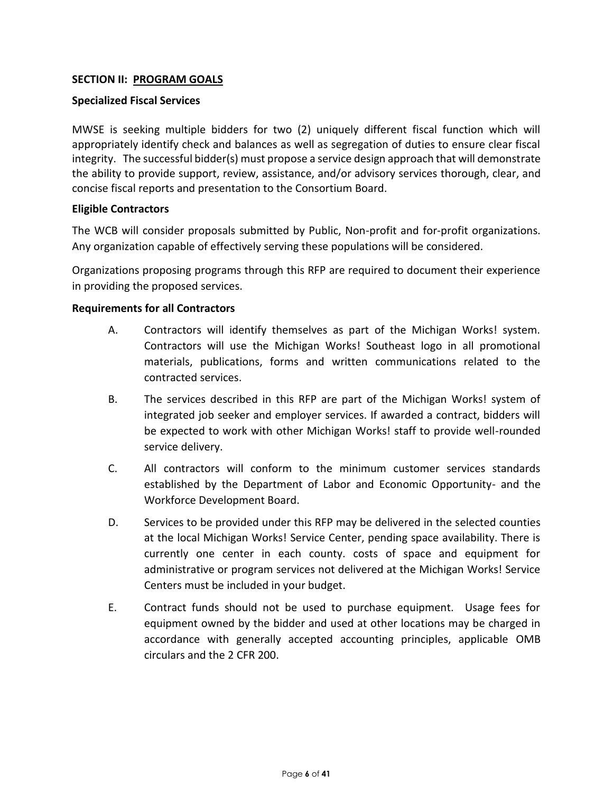# **SECTION II: PROGRAM GOALS**

#### **Specialized Fiscal Services**

MWSE is seeking multiple bidders for two (2) uniquely different fiscal function which will appropriately identify check and balances as well as segregation of duties to ensure clear fiscal integrity. The successful bidder(s) must propose a service design approach that will demonstrate the ability to provide support, review, assistance, and/or advisory services thorough, clear, and concise fiscal reports and presentation to the Consortium Board.

#### **Eligible Contractors**

The WCB will consider proposals submitted by Public, Non-profit and for-profit organizations. Any organization capable of effectively serving these populations will be considered.

Organizations proposing programs through this RFP are required to document their experience in providing the proposed services.

#### **Requirements for all Contractors**

- A. Contractors will identify themselves as part of the Michigan Works! system. Contractors will use the Michigan Works! Southeast logo in all promotional materials, publications, forms and written communications related to the contracted services.
- B. The services described in this RFP are part of the Michigan Works! system of integrated job seeker and employer services. If awarded a contract, bidders will be expected to work with other Michigan Works! staff to provide well-rounded service delivery.
- C. All contractors will conform to the minimum customer services standards established by the Department of Labor and Economic Opportunity- and the Workforce Development Board.
- D. Services to be provided under this RFP may be delivered in the selected counties at the local Michigan Works! Service Center, pending space availability. There is currently one center in each county. costs of space and equipment for administrative or program services not delivered at the Michigan Works! Service Centers must be included in your budget.
- E. Contract funds should not be used to purchase equipment. Usage fees for equipment owned by the bidder and used at other locations may be charged in accordance with generally accepted accounting principles, applicable OMB circulars and the 2 CFR 200.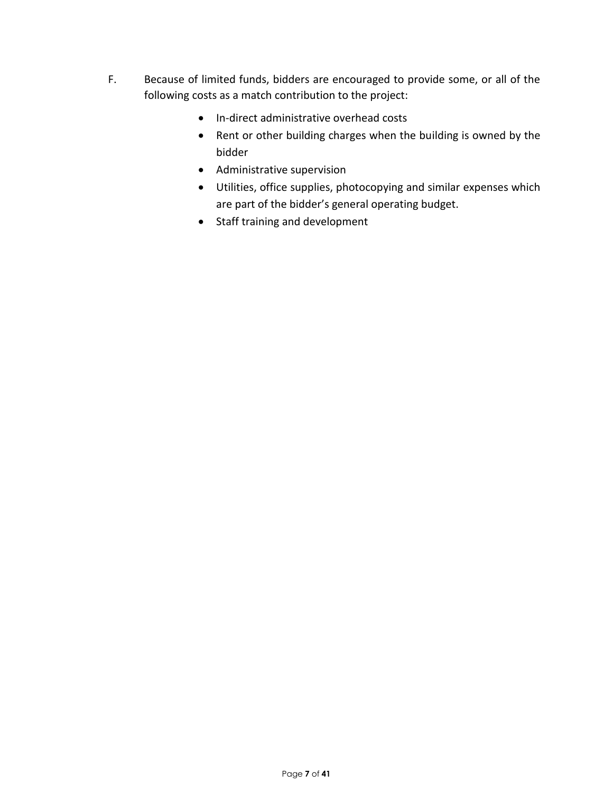- F. Because of limited funds, bidders are encouraged to provide some, or all of the following costs as a match contribution to the project:
	- In-direct administrative overhead costs
	- Rent or other building charges when the building is owned by the bidder
	- Administrative supervision
	- Utilities, office supplies, photocopying and similar expenses which are part of the bidder's general operating budget.
	- Staff training and development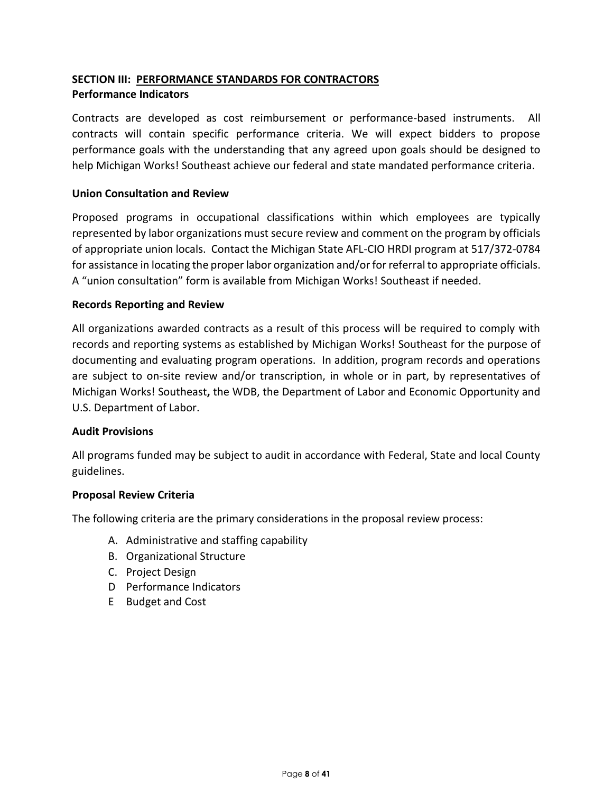# **SECTION III: PERFORMANCE STANDARDS FOR CONTRACTORS Performance Indicators**

Contracts are developed as cost reimbursement or performance-based instruments. All contracts will contain specific performance criteria. We will expect bidders to propose performance goals with the understanding that any agreed upon goals should be designed to help Michigan Works! Southeast achieve our federal and state mandated performance criteria.

# **Union Consultation and Review**

Proposed programs in occupational classifications within which employees are typically represented by labor organizations must secure review and comment on the program by officials of appropriate union locals. Contact the Michigan State AFL-CIO HRDI program at 517/372-0784 for assistance in locating the proper labor organization and/or for referral to appropriate officials. A "union consultation" form is available from Michigan Works! Southeast if needed.

#### **Records Reporting and Review**

All organizations awarded contracts as a result of this process will be required to comply with records and reporting systems as established by Michigan Works! Southeast for the purpose of documenting and evaluating program operations. In addition, program records and operations are subject to on-site review and/or transcription, in whole or in part, by representatives of Michigan Works! Southeast**,** the WDB, the Department of Labor and Economic Opportunity and U.S. Department of Labor.

#### **Audit Provisions**

All programs funded may be subject to audit in accordance with Federal, State and local County guidelines.

#### **Proposal Review Criteria**

The following criteria are the primary considerations in the proposal review process:

- A. Administrative and staffing capability
- B. Organizational Structure
- C. Project Design
- D Performance Indicators
- E Budget and Cost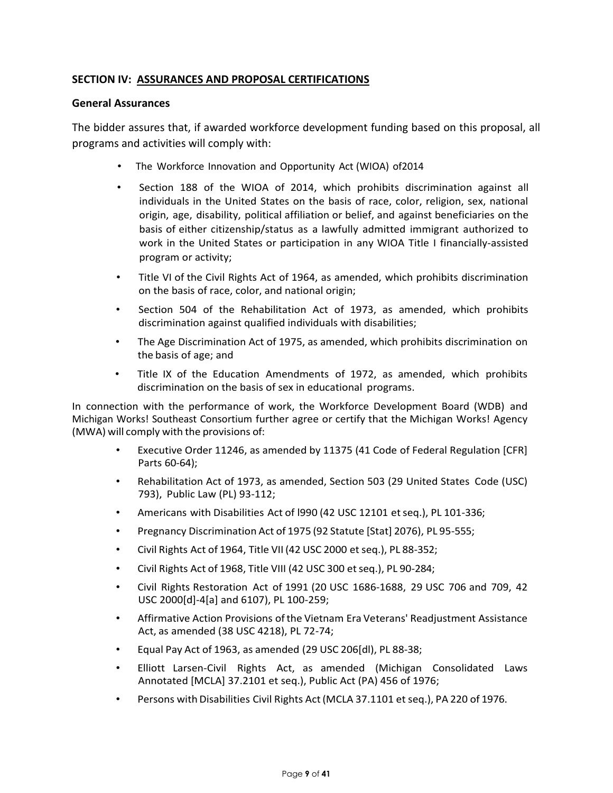# **SECTION IV: ASSURANCES AND PROPOSAL CERTIFICATIONS**

#### **General Assurances**

The bidder assures that, if awarded workforce development funding based on this proposal, all programs and activities will comply with:

- The Workforce Innovation and Opportunity Act (WIOA) of2014
- Section 188 of the WIOA of 2014, which prohibits discrimination against all individuals in the United States on the basis of race, color, religion, sex, national origin, age, disability, political affiliation or belief, and against beneficiaries on the basis of either citizenship/status as a lawfully admitted immigrant authorized to work in the United States or participation in any WIOA Title I financially-assisted program or activity;
- Title VI of the Civil Rights Act of 1964, as amended, which prohibits discrimination on the basis of race, color, and national origin;
- Section 504 of the Rehabilitation Act of 1973, as amended, which prohibits discrimination against qualified individuals with disabilities;
- The Age Discrimination Act of 1975, as amended, which prohibits discrimination on the basis of age; and
- Title IX of the Education Amendments of 1972, as amended, which prohibits discrimination on the basis of sex in educational programs.

In connection with the performance of work, the Workforce Development Board (WDB) and Michigan Works! Southeast Consortium further agree or certify that the Michigan Works! Agency (MWA) will comply with the provisions of:

- Executive Order 11246, as amended by 11375 (41 Code of Federal Regulation [CFR] Parts 60-64);
- Rehabilitation Act of 1973, as amended, Section 503 (29 United States Code (USC) 793), Public Law (PL) 93-112;
- Americans with Disabilities Act of l990 (42 USC 12101 etseq.), PL 101-336;
- Pregnancy Discrimination Act of 1975 (92 Statute [Stat] 2076), PL 95-555;
- Civil Rights Act of 1964, Title VII (42 USC 2000 et seq.), PL 88-352;
- Civil Rights Act of 1968, Title VIII (42 USC 300 et seq.), PL 90-284;
- Civil Rights Restoration Act of 1991 (20 USC 1686-1688, 29 USC 706 and 709, 42 USC 2000[d]-4[a] and 6107), PL 100-259;
- Affirmative Action Provisions ofthe Vietnam Era Veterans' Readjustment Assistance Act, as amended (38 USC 4218), PL 72-74;
- Equal Pay Act of 1963, as amended (29 USC 206[dl), PL 88-38;
- Elliott Larsen-Civil Rights Act, as amended (Michigan Consolidated Laws Annotated [MCLA] 37.2101 et seq.), Public Act (PA) 456 of 1976;
- Persons with Disabilities Civil Rights Act(MCLA 37.1101 et seq.), PA 220 of 1976.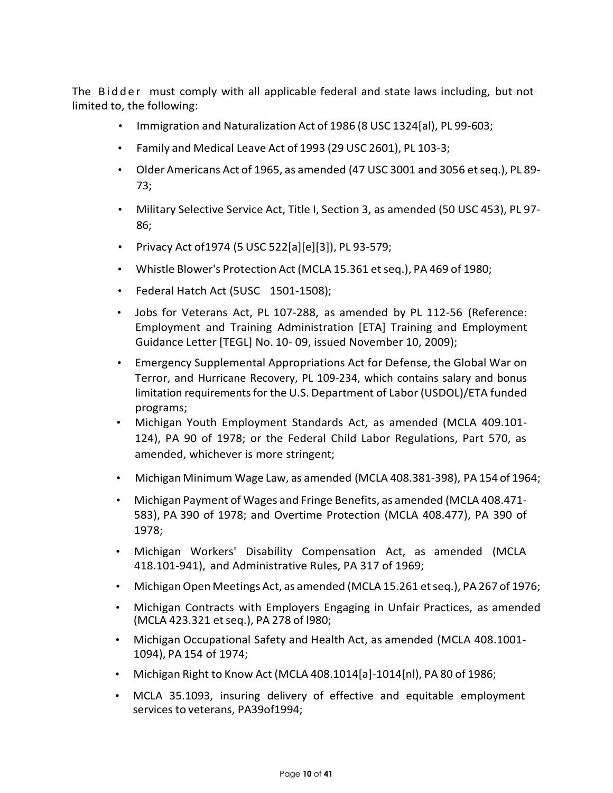The Bidder must comply with all applicable federal and state laws including, but not limited to, the following:

- Immigration and Naturalization Act of 1986 (8 USC 1324[al), PL 99-603;
- Family and Medical Leave Act of 1993 (29 USC 2601), PL 103-3;
- Older Americans Act of 1965, as amended (47 USC 3001 and 3056 etseq.), PL 89- 73;
- Military Selective Service Act, Title I, Section 3, as amended (50 USC 453), PL 97- 86;
- Privacy Act of1974 (5 USC 522[a][e][3]), PL 93-579;
- Whistle Blower's Protection Act (MCLA 15.361 etseq.), PA 469 of 1980;
- Federal Hatch Act (5USC 1501-1508);
- Jobs for Veterans Act, PL 107-288, as amended by PL 112-56 (Reference: Employment and Training Administration [ETA] Training and Employment Guidance Letter [TEGL] No. 10- 09, issued November 10, 2009);
- Emergency Supplemental Appropriations Act for Defense, the Global War on Terror, and Hurricane Recovery, PL 109-234, which contains salary and bonus limitation requirements for the U.S. Department of Labor (USDOL)/ETA funded programs;
- Michigan Youth Employment Standards Act, as amended (MCLA 409.101- 124), PA 90 of 1978; or the Federal Child Labor Regulations, Part 570, as amended, whichever is more stringent;
- Michigan Minimum Wage Law, as amended (MCLA 408.381-398), PA 154 of 1964;
- Michigan Payment of Wages and Fringe Benefits, as amended (MCLA 408.471- 583), PA 390 of 1978; and Overtime Protection (MCLA 408.477), PA 390 of 1978;
- Michigan Workers' Disability Compensation Act, as amended (MCLA 418.101-941), and Administrative Rules, PA 317 of 1969;
- Michigan Open Meetings Act, as amended (MCLA 15.261 et seq.), PA 267 of 1976;
- Michigan Contracts with Employers Engaging in Unfair Practices, as amended (MCLA 423.321 et seq.), PA 278 of l980;
- Michigan Occupational Safety and Health Act, as amended (MCLA 408.1001- 1094), PA 154 of 1974;
- Michigan Right to Know Act (MCLA 408.1014[a]-1014[nl), PA 80 of 1986;
- MCLA 35.1093, insuring delivery of effective and equitable employment services to veterans, PA39of1994;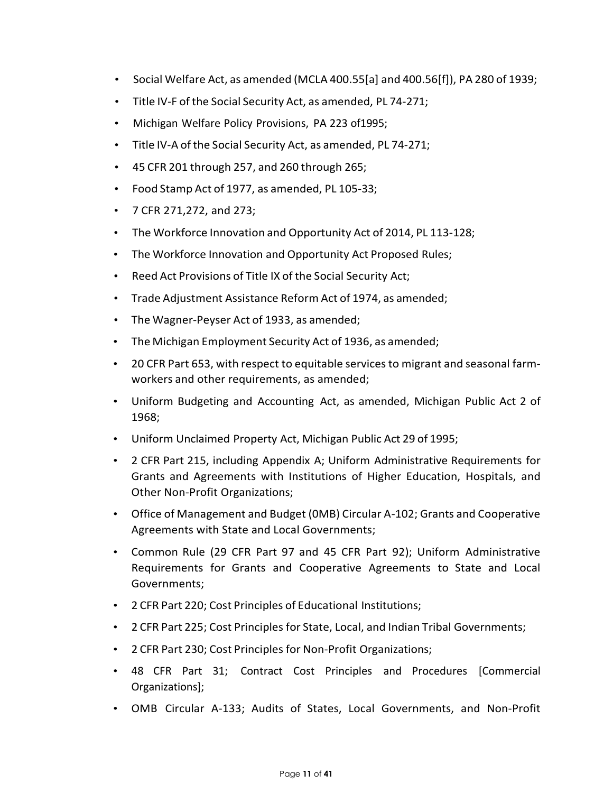- Social Welfare Act, as amended (MCLA 400.55[a] and 400.56[f]), PA 280 of 1939;
- Title IV-F of the Social Security Act, as amended, PL 74-271;
- Michigan Welfare Policy Provisions, PA 223 of1995;
- Title IV-A of the Social Security Act, as amended, PL 74-271;
- 45 CFR 201 through 257, and 260 through 265;
- Food Stamp Act of 1977, as amended, PL 105-33;
- 7 CFR 271,272, and 273;
- The Workforce Innovation and Opportunity Act of 2014, PL 113-128;
- The Workforce Innovation and Opportunity Act Proposed Rules;
- Reed Act Provisions of Title IX of the Social Security Act;
- Trade Adjustment Assistance Reform Act of 1974, as amended;
- The Wagner-Peyser Act of 1933, as amended;
- The Michigan Employment Security Act of 1936, as amended;
- 20 CFR Part 653, with respect to equitable servicesto migrant and seasonal farmworkers and other requirements, as amended;
- Uniform Budgeting and Accounting Act, as amended, Michigan Public Act 2 of 1968;
- Uniform Unclaimed Property Act, Michigan Public Act 29 of 1995;
- 2 CFR Part 215, including Appendix A; Uniform Administrative Requirements for Grants and Agreements with Institutions of Higher Education, Hospitals, and Other Non-Profit Organizations;
- Office of Management and Budget (0MB) Circular A-102; Grants and Cooperative Agreements with State and Local Governments;
- Common Rule (29 CFR Part 97 and 45 CFR Part 92); Uniform Administrative Requirements for Grants and Cooperative Agreements to State and Local Governments;
- 2 CFR Part 220; Cost Principles of Educational Institutions;
- 2 CFR Part 225; Cost Principles for State, Local, and Indian Tribal Governments;
- 2 CFR Part 230; Cost Principles for Non-Profit Organizations;
- 48 CFR Part 31; Contract Cost Principles and Procedures [Commercial Organizations];
- OMB Circular A-133; Audits of States, Local Governments, and Non-Profit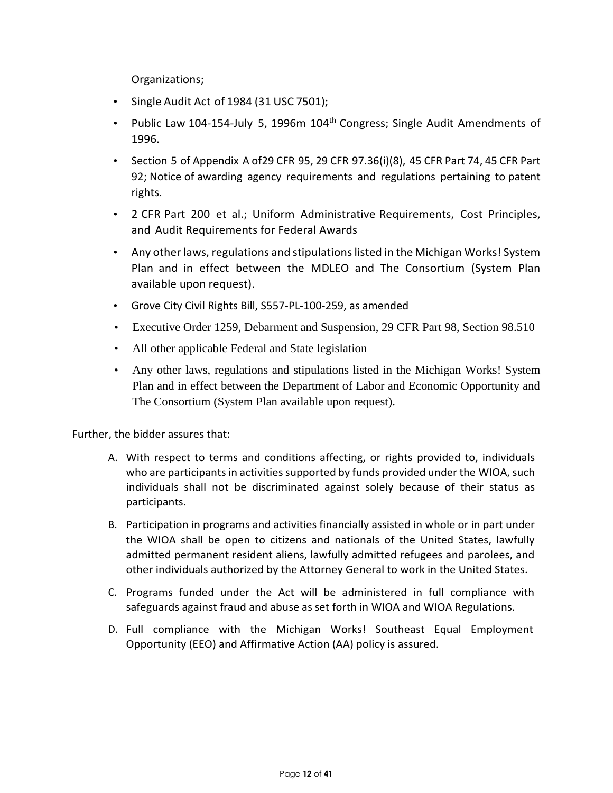Organizations;

- Single Audit Act of 1984 (31 USC 7501);
- Public Law 104-154-July 5, 1996m 104<sup>th</sup> Congress; Single Audit Amendments of 1996.
- Section 5 of Appendix A of29 CFR 95, 29 CFR 97.36(i)(8), 45 CFR Part 74, 45 CFR Part 92; Notice of awarding agency requirements and regulations pertaining to patent rights.
- 2 CFR Part 200 et al.; Uniform Administrative Requirements, Cost Principles, and Audit Requirements for Federal Awards
- Any other laws, regulations and stipulations listed in the Michigan Works! System Plan and in effect between the MDLEO and The Consortium (System Plan available upon request).
- Grove City Civil Rights Bill, S557-PL-100-259, as amended
- Executive Order 1259, Debarment and Suspension, 29 CFR Part 98, Section 98.510
- All other applicable Federal and State legislation
- Any other laws, regulations and stipulations listed in the Michigan Works! System Plan and in effect between the Department of Labor and Economic Opportunity and The Consortium (System Plan available upon request).

Further, the bidder assures that:

- A. With respect to terms and conditions affecting, or rights provided to, individuals who are participants in activities supported by funds provided under the WIOA, such individuals shall not be discriminated against solely because of their status as participants.
- B. Participation in programs and activities financially assisted in whole or in part under the WIOA shall be open to citizens and nationals of the United States, lawfully admitted permanent resident aliens, lawfully admitted refugees and parolees, and other individuals authorized by the Attorney General to work in the United States.
- C. Programs funded under the Act will be administered in full compliance with safeguards against fraud and abuse as set forth in WIOA and WIOA Regulations.
- D. Full compliance with the Michigan Works! Southeast Equal Employment Opportunity (EEO) and Affirmative Action (AA) policy is assured.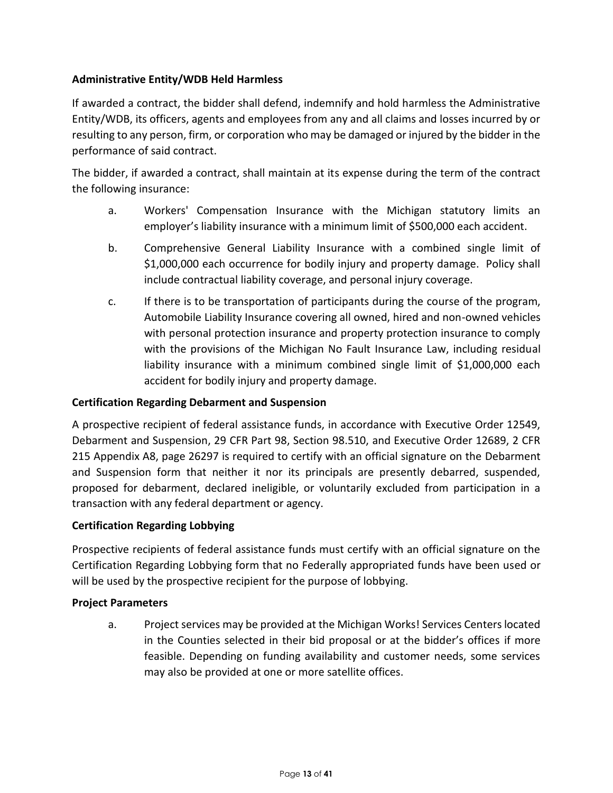# **Administrative Entity/WDB Held Harmless**

If awarded a contract, the bidder shall defend, indemnify and hold harmless the Administrative Entity/WDB, its officers, agents and employees from any and all claims and losses incurred by or resulting to any person, firm, or corporation who may be damaged or injured by the bidder in the performance of said contract.

The bidder, if awarded a contract, shall maintain at its expense during the term of the contract the following insurance:

- a. Workers' Compensation Insurance with the Michigan statutory limits an employer's liability insurance with a minimum limit of \$500,000 each accident.
- b. Comprehensive General Liability Insurance with a combined single limit of \$1,000,000 each occurrence for bodily injury and property damage. Policy shall include contractual liability coverage, and personal injury coverage.
- c. If there is to be transportation of participants during the course of the program, Automobile Liability Insurance covering all owned, hired and non-owned vehicles with personal protection insurance and property protection insurance to comply with the provisions of the Michigan No Fault Insurance Law, including residual liability insurance with a minimum combined single limit of \$1,000,000 each accident for bodily injury and property damage.

# **Certification Regarding Debarment and Suspension**

A prospective recipient of federal assistance funds, in accordance with Executive Order 12549, Debarment and Suspension, 29 CFR Part 98, Section 98.510, and Executive Order 12689, 2 CFR 215 Appendix A8, page 26297 is required to certify with an official signature on the Debarment and Suspension form that neither it nor its principals are presently debarred, suspended, proposed for debarment, declared ineligible, or voluntarily excluded from participation in a transaction with any federal department or agency.

# **Certification Regarding Lobbying**

Prospective recipients of federal assistance funds must certify with an official signature on the Certification Regarding Lobbying form that no Federally appropriated funds have been used or will be used by the prospective recipient for the purpose of lobbying.

# **Project Parameters**

a. Project services may be provided at the Michigan Works! Services Centers located in the Counties selected in their bid proposal or at the bidder's offices if more feasible. Depending on funding availability and customer needs, some services may also be provided at one or more satellite offices.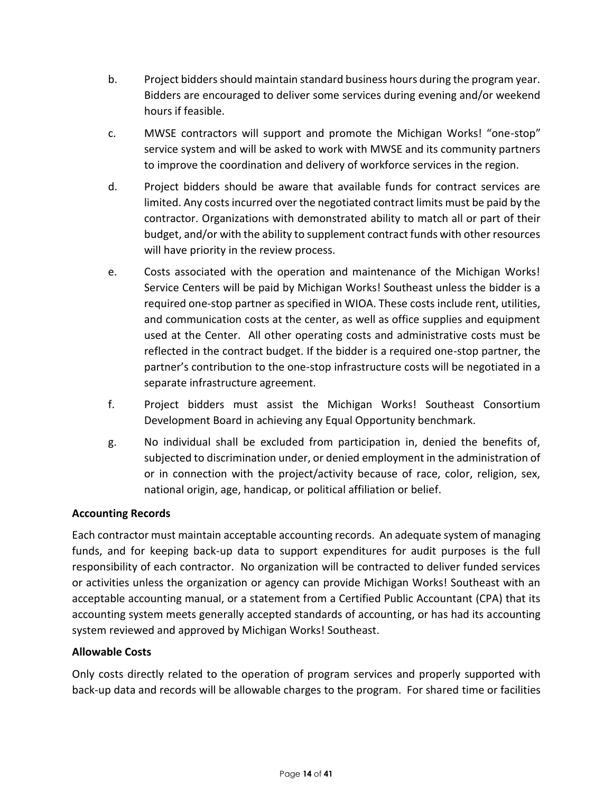- b. Project bidders should maintain standard business hours during the program year. Bidders are encouraged to deliver some services during evening and/or weekend hours if feasible.
- c. MWSE contractors will support and promote the Michigan Works! "one-stop" service system and will be asked to work with MWSE and its community partners to improve the coordination and delivery of workforce services in the region.
- d. Project bidders should be aware that available funds for contract services are limited. Any costs incurred over the negotiated contract limits must be paid by the contractor. Organizations with demonstrated ability to match all or part of their budget, and/or with the ability to supplement contract funds with other resources will have priority in the review process.
- e. Costs associated with the operation and maintenance of the Michigan Works! Service Centers will be paid by Michigan Works! Southeast unless the bidder is a required one-stop partner as specified in WIOA. These costs include rent, utilities, and communication costs at the center, as well as office supplies and equipment used at the Center. All other operating costs and administrative costs must be reflected in the contract budget. If the bidder is a required one-stop partner, the partner's contribution to the one-stop infrastructure costs will be negotiated in a separate infrastructure agreement.
- f. Project bidders must assist the Michigan Works! Southeast Consortium Development Board in achieving any Equal Opportunity benchmark.
- g. No individual shall be excluded from participation in, denied the benefits of, subjected to discrimination under, or denied employment in the administration of or in connection with the project/activity because of race, color, religion, sex, national origin, age, handicap, or political affiliation or belief.

# **Accounting Records**

Each contractor must maintain acceptable accounting records. An adequate system of managing funds, and for keeping back-up data to support expenditures for audit purposes is the full responsibility of each contractor. No organization will be contracted to deliver funded services or activities unless the organization or agency can provide Michigan Works! Southeast with an acceptable accounting manual, or a statement from a Certified Public Accountant (CPA) that its accounting system meets generally accepted standards of accounting, or has had its accounting system reviewed and approved by Michigan Works! Southeast.

# **Allowable Costs**

Only costs directly related to the operation of program services and properly supported with back-up data and records will be allowable charges to the program. For shared time or facilities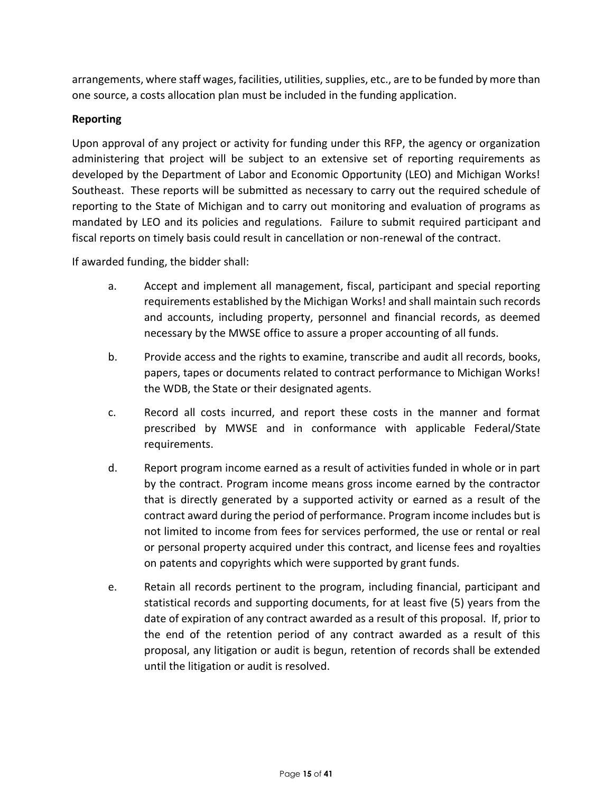arrangements, where staff wages, facilities, utilities, supplies, etc., are to be funded by more than one source, a costs allocation plan must be included in the funding application.

# **Reporting**

Upon approval of any project or activity for funding under this RFP, the agency or organization administering that project will be subject to an extensive set of reporting requirements as developed by the Department of Labor and Economic Opportunity (LEO) and Michigan Works! Southeast. These reports will be submitted as necessary to carry out the required schedule of reporting to the State of Michigan and to carry out monitoring and evaluation of programs as mandated by LEO and its policies and regulations. Failure to submit required participant and fiscal reports on timely basis could result in cancellation or non-renewal of the contract.

If awarded funding, the bidder shall:

- a. Accept and implement all management, fiscal, participant and special reporting requirements established by the Michigan Works! and shall maintain such records and accounts, including property, personnel and financial records, as deemed necessary by the MWSE office to assure a proper accounting of all funds.
- b. Provide access and the rights to examine, transcribe and audit all records, books, papers, tapes or documents related to contract performance to Michigan Works! the WDB, the State or their designated agents.
- c. Record all costs incurred, and report these costs in the manner and format prescribed by MWSE and in conformance with applicable Federal/State requirements.
- d. Report program income earned as a result of activities funded in whole or in part by the contract. Program income means gross income earned by the contractor that is directly generated by a supported activity or earned as a result of the contract award during the period of performance. Program income includes but is not limited to income from fees for services performed, the use or rental or real or personal property acquired under this contract, and license fees and royalties on patents and copyrights which were supported by grant funds.
- e. Retain all records pertinent to the program, including financial, participant and statistical records and supporting documents, for at least five (5) years from the date of expiration of any contract awarded as a result of this proposal. If, prior to the end of the retention period of any contract awarded as a result of this proposal, any litigation or audit is begun, retention of records shall be extended until the litigation or audit is resolved.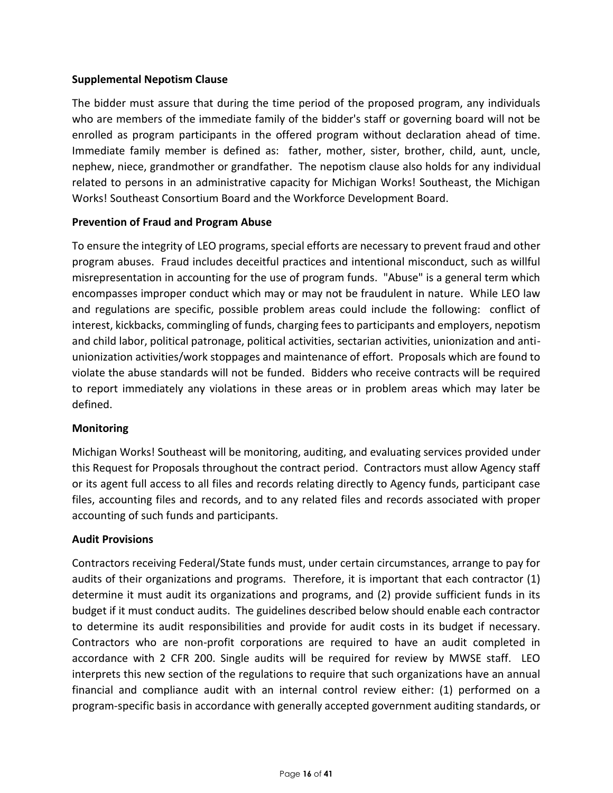# **Supplemental Nepotism Clause**

The bidder must assure that during the time period of the proposed program, any individuals who are members of the immediate family of the bidder's staff or governing board will not be enrolled as program participants in the offered program without declaration ahead of time. Immediate family member is defined as: father, mother, sister, brother, child, aunt, uncle, nephew, niece, grandmother or grandfather. The nepotism clause also holds for any individual related to persons in an administrative capacity for Michigan Works! Southeast, the Michigan Works! Southeast Consortium Board and the Workforce Development Board.

# **Prevention of Fraud and Program Abuse**

To ensure the integrity of LEO programs, special efforts are necessary to prevent fraud and other program abuses. Fraud includes deceitful practices and intentional misconduct, such as willful misrepresentation in accounting for the use of program funds. "Abuse" is a general term which encompasses improper conduct which may or may not be fraudulent in nature. While LEO law and regulations are specific, possible problem areas could include the following: conflict of interest, kickbacks, commingling of funds, charging fees to participants and employers, nepotism and child labor, political patronage, political activities, sectarian activities, unionization and antiunionization activities/work stoppages and maintenance of effort. Proposals which are found to violate the abuse standards will not be funded. Bidders who receive contracts will be required to report immediately any violations in these areas or in problem areas which may later be defined.

# **Monitoring**

Michigan Works! Southeast will be monitoring, auditing, and evaluating services provided under this Request for Proposals throughout the contract period. Contractors must allow Agency staff or its agent full access to all files and records relating directly to Agency funds, participant case files, accounting files and records, and to any related files and records associated with proper accounting of such funds and participants.

# **Audit Provisions**

Contractors receiving Federal/State funds must, under certain circumstances, arrange to pay for audits of their organizations and programs. Therefore, it is important that each contractor (1) determine it must audit its organizations and programs, and (2) provide sufficient funds in its budget if it must conduct audits. The guidelines described below should enable each contractor to determine its audit responsibilities and provide for audit costs in its budget if necessary. Contractors who are non-profit corporations are required to have an audit completed in accordance with 2 CFR 200. Single audits will be required for review by MWSE staff. LEO interprets this new section of the regulations to require that such organizations have an annual financial and compliance audit with an internal control review either: (1) performed on a program-specific basis in accordance with generally accepted government auditing standards, or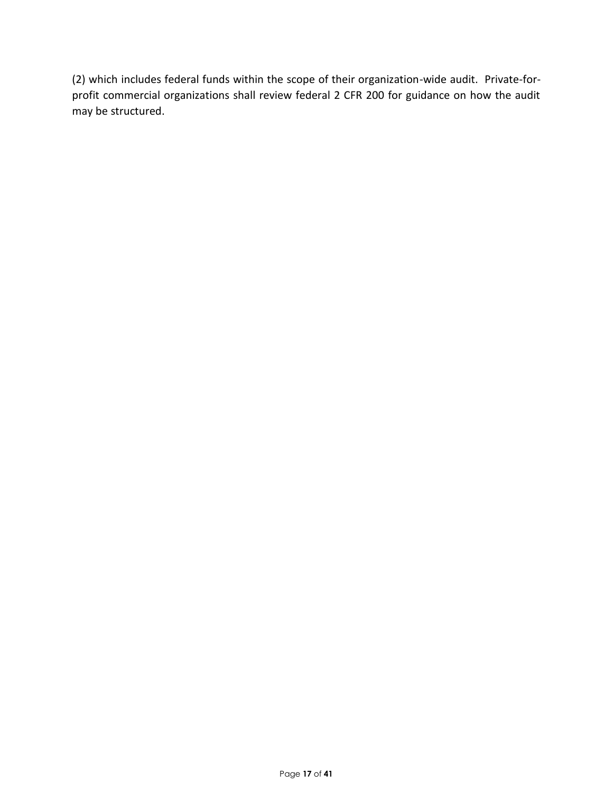(2) which includes federal funds within the scope of their organization-wide audit. Private-forprofit commercial organizations shall review federal 2 CFR 200 for guidance on how the audit may be structured.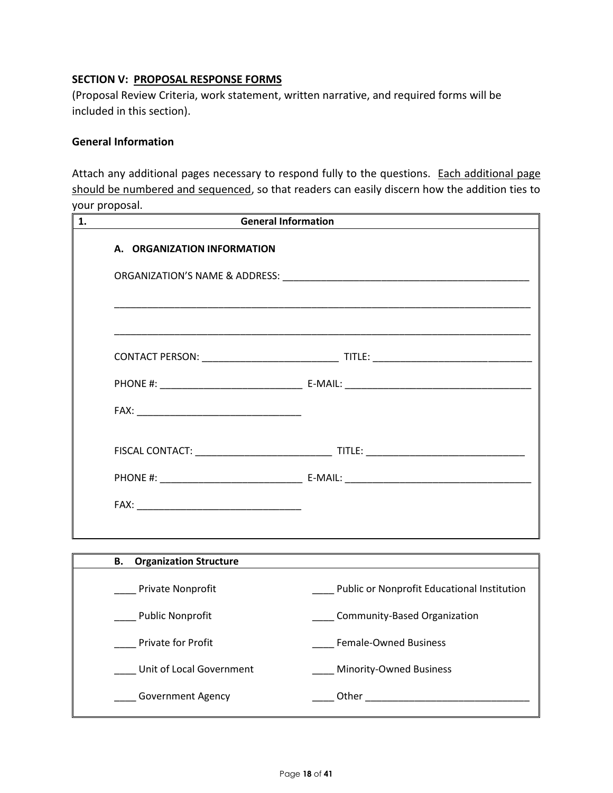# **SECTION V: PROPOSAL RESPONSE FORMS**

(Proposal Review Criteria, work statement, written narrative, and required forms will be included in this section).

#### **General Information**

Attach any additional pages necessary to respond fully to the questions. Each additional page should be numbered and sequenced, so that readers can easily discern how the addition ties to your proposal.

|                                  | <b>General Information</b>                  |  |  |  |
|----------------------------------|---------------------------------------------|--|--|--|
| A. ORGANIZATION INFORMATION      |                                             |  |  |  |
|                                  |                                             |  |  |  |
|                                  |                                             |  |  |  |
|                                  |                                             |  |  |  |
|                                  |                                             |  |  |  |
|                                  |                                             |  |  |  |
|                                  |                                             |  |  |  |
|                                  |                                             |  |  |  |
|                                  |                                             |  |  |  |
|                                  |                                             |  |  |  |
| <b>B.</b> Organization Structure |                                             |  |  |  |
| <b>Private Nonprofit</b>         | Public or Nonprofit Educational Institution |  |  |  |
| <b>Public Nonprofit</b>          | <b>Community-Based Organization</b>         |  |  |  |
| <b>Private for Profit</b>        | <b>Female-Owned Business</b>                |  |  |  |
| Unit of Local Government         | Minority-Owned Business                     |  |  |  |

\_\_\_\_ Government Agency \_\_\_\_ Other \_\_\_\_\_\_\_\_\_\_\_\_\_\_\_\_\_\_\_\_\_\_\_\_\_\_\_\_\_\_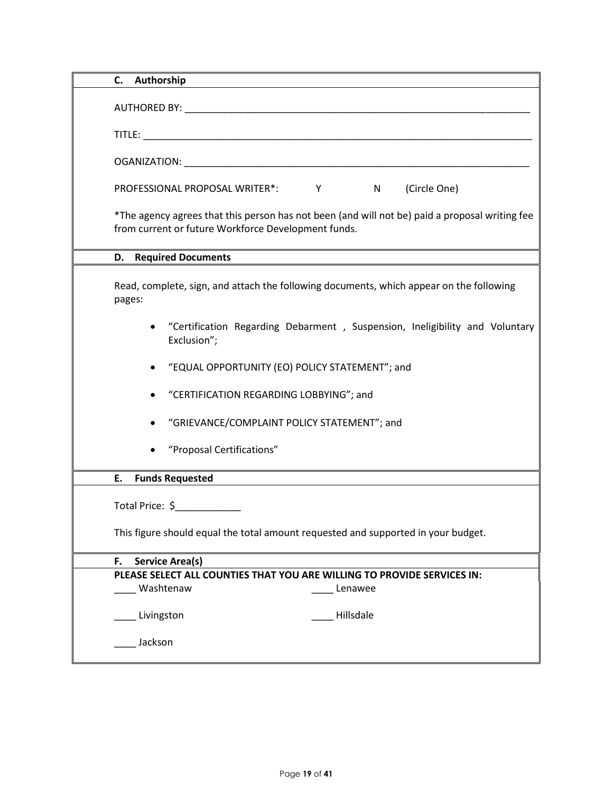| C. Authorship                                                                                                                                         |
|-------------------------------------------------------------------------------------------------------------------------------------------------------|
|                                                                                                                                                       |
|                                                                                                                                                       |
|                                                                                                                                                       |
| (Circle One)<br>PROFESSIONAL PROPOSAL WRITER*: Y N                                                                                                    |
| *The agency agrees that this person has not been (and will not be) paid a proposal writing fee<br>from current or future Workforce Development funds. |
| <b>D.</b> Required Documents                                                                                                                          |
| Read, complete, sign, and attach the following documents, which appear on the following<br>pages:                                                     |
| "Certification Regarding Debarment, Suspension, Ineligibility and Voluntary<br>Exclusion";                                                            |
| "EQUAL OPPORTUNITY (EO) POLICY STATEMENT"; and                                                                                                        |
| "CERTIFICATION REGARDING LOBBYING"; and                                                                                                               |
| "GRIEVANCE/COMPLAINT POLICY STATEMENT"; and                                                                                                           |
| "Proposal Certifications"                                                                                                                             |
| <b>Funds Requested</b><br>Е.                                                                                                                          |
| Total Price: \$                                                                                                                                       |
| This figure should equal the total amount requested and supported in your budget.                                                                     |
| <b>Service Area(s)</b><br>F.                                                                                                                          |
| PLEASE SELECT ALL COUNTIES THAT YOU ARE WILLING TO PROVIDE SERVICES IN:                                                                               |
| Washtenaw<br>Lenawee                                                                                                                                  |
| Hillsdale<br>Livingston                                                                                                                               |
| Jackson                                                                                                                                               |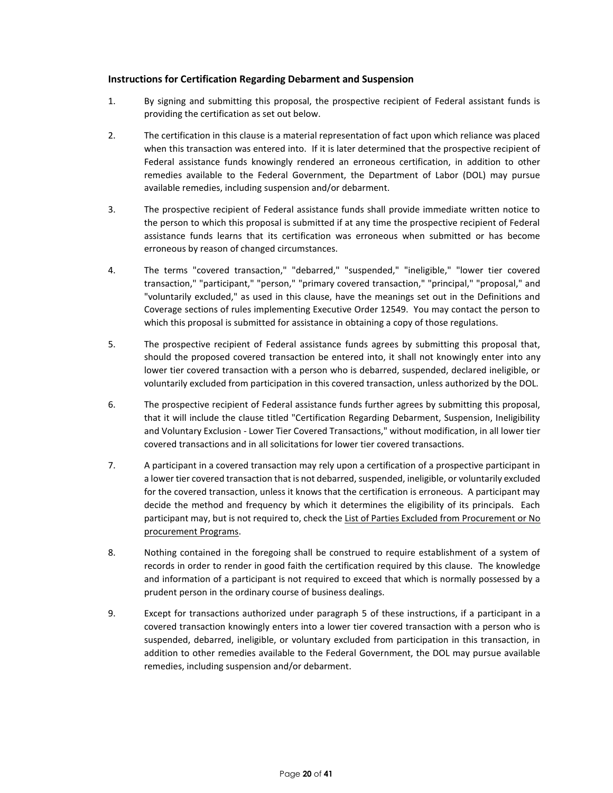#### **Instructions for Certification Regarding Debarment and Suspension**

- 1. By signing and submitting this proposal, the prospective recipient of Federal assistant funds is providing the certification as set out below.
- 2. The certification in this clause is a material representation of fact upon which reliance was placed when this transaction was entered into. If it is later determined that the prospective recipient of Federal assistance funds knowingly rendered an erroneous certification, in addition to other remedies available to the Federal Government, the Department of Labor (DOL) may pursue available remedies, including suspension and/or debarment.
- 3. The prospective recipient of Federal assistance funds shall provide immediate written notice to the person to which this proposal is submitted if at any time the prospective recipient of Federal assistance funds learns that its certification was erroneous when submitted or has become erroneous by reason of changed circumstances.
- 4. The terms "covered transaction," "debarred," "suspended," "ineligible," "lower tier covered transaction," "participant," "person," "primary covered transaction," "principal," "proposal," and "voluntarily excluded," as used in this clause, have the meanings set out in the Definitions and Coverage sections of rules implementing Executive Order 12549. You may contact the person to which this proposal is submitted for assistance in obtaining a copy of those regulations.
- 5. The prospective recipient of Federal assistance funds agrees by submitting this proposal that, should the proposed covered transaction be entered into, it shall not knowingly enter into any lower tier covered transaction with a person who is debarred, suspended, declared ineligible, or voluntarily excluded from participation in this covered transaction, unless authorized by the DOL.
- 6. The prospective recipient of Federal assistance funds further agrees by submitting this proposal, that it will include the clause titled "Certification Regarding Debarment, Suspension, Ineligibility and Voluntary Exclusion - Lower Tier Covered Transactions," without modification, in all lower tier covered transactions and in all solicitations for lower tier covered transactions.
- 7. A participant in a covered transaction may rely upon a certification of a prospective participant in a lower tier covered transaction that is not debarred, suspended, ineligible, or voluntarily excluded for the covered transaction, unless it knows that the certification is erroneous. A participant may decide the method and frequency by which it determines the eligibility of its principals. Each participant may, but is not required to, check the List of Parties Excluded from Procurement or No procurement Programs.
- 8. Nothing contained in the foregoing shall be construed to require establishment of a system of records in order to render in good faith the certification required by this clause. The knowledge and information of a participant is not required to exceed that which is normally possessed by a prudent person in the ordinary course of business dealings.
- 9. Except for transactions authorized under paragraph 5 of these instructions, if a participant in a covered transaction knowingly enters into a lower tier covered transaction with a person who is suspended, debarred, ineligible, or voluntary excluded from participation in this transaction, in addition to other remedies available to the Federal Government, the DOL may pursue available remedies, including suspension and/or debarment.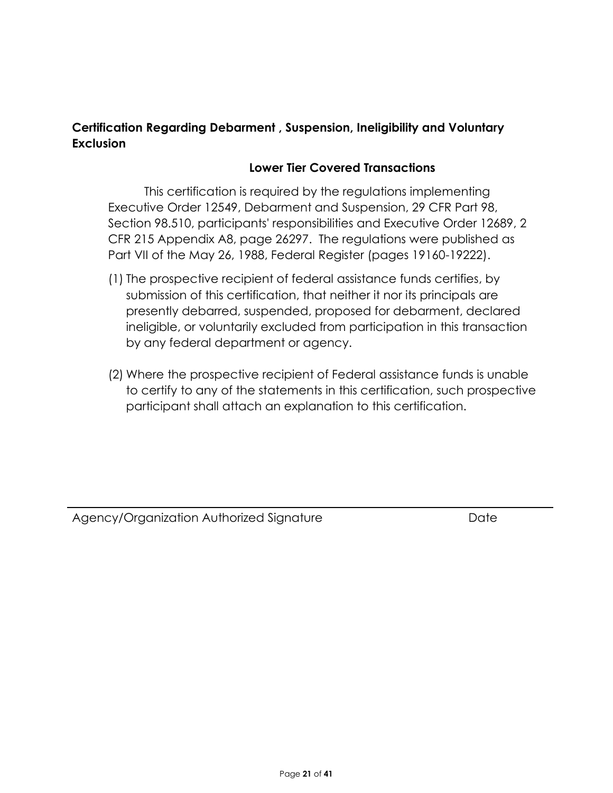# **Certification Regarding Debarment , Suspension, Ineligibility and Voluntary Exclusion**

# **Lower Tier Covered Transactions**

This certification is required by the regulations implementing Executive Order 12549, Debarment and Suspension, 29 CFR Part 98, Section 98.510, participants' responsibilities and Executive Order 12689, 2 CFR 215 Appendix A8, page 26297. The regulations were published as Part VII of the May 26, 1988, Federal Register (pages 19160-19222).

- (1) The prospective recipient of federal assistance funds certifies, by submission of this certification, that neither it nor its principals are presently debarred, suspended, proposed for debarment, declared ineligible, or voluntarily excluded from participation in this transaction by any federal department or agency.
- (2) Where the prospective recipient of Federal assistance funds is unable to certify to any of the statements in this certification, such prospective participant shall attach an explanation to this certification.

Agency/Organization Authorized Signature **Date** Date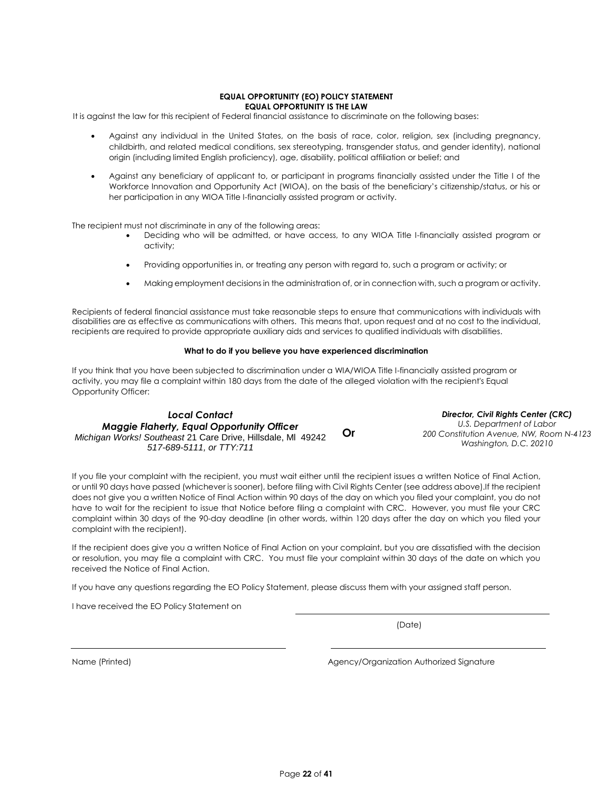#### **EQUAL OPPORTUNITY (EO) POLICY STATEMENT EQUAL OPPORTUNITY IS THE LAW**

It is against the law for this recipient of Federal financial assistance to discriminate on the following bases:

- Against any individual in the United States, on the basis of race, color, religion, sex (including pregnancy, childbirth, and related medical conditions, sex stereotyping, transgender status, and gender identity), national origin (including limited English proficiency), age, disability, political affiliation or belief; and
- Against any beneficiary of applicant to, or participant in programs financially assisted under the Title I of the Workforce Innovation and Opportunity Act (WIOA), on the basis of the beneficiary's citizenship/status, or his or her participation in any WIOA Title I-financially assisted program or activity.

The recipient must not discriminate in any of the following areas:

- Deciding who will be admitted, or have access, to any WIOA Title I-financially assisted program or activity;
- Providing opportunities in, or treating any person with regard to, such a program or activity; or
- Making employment decisions in the administration of, or in connection with, such a program or activity.

Recipients of federal financial assistance must take reasonable steps to ensure that communications with individuals with disabilities are as effective as communications with others. This means that, upon request and at no cost to the individual, recipients are required to provide appropriate auxiliary aids and services to qualified individuals with disabilities.

#### **What to do if you believe you have experienced discrimination**

If you think that you have been subjected to discrimination under a WIA/WIOA Title I-financially assisted program or activity, you may file a complaint within 180 days from the date of the alleged violation with the recipient's Equal Opportunity Officer:

#### *Local Contact Maggie Flaherty, Equal Opportunity Officer Michigan Works! Southeast* 21 Care Drive, Hillsdale, Ml 49242 *517-689-5111, or TTY:711* **Or**

*Director, Civil Rights Center (CRC) U.S. Department of Labor 200 Constitution Avenue, NW, Room N-4123 Washington, D.C. 20210*

If you file your complaint with the recipient, you must wait either until the recipient issues a written Notice of Final Action, or until 90 days have passed (whichever is sooner), before filing with Civil Rights Center (see address above).If the recipient does not give you a written Notice of Final Action within 90 days of the day on which you filed your complaint, you do not have to wait for the recipient to issue that Notice before filing a complaint with CRC. However, you must file your CRC complaint within 30 days of the 90-day deadline (in other words, within 120 days after the day on which you filed your complaint with the recipient).

If the recipient does give you a written Notice of Final Action on your complaint, but you are dissatisfied with the decision or resolution, you may file a complaint with CRC. You must file your complaint within 30 days of the date on which you received the Notice of Final Action.

If you have any questions regarding the EO Policy Statement, please discuss them with your assigned staff person.

I have received the EO Policy Statement on

(Date)

Name (Printed) and Agency/Organization Authorized Signature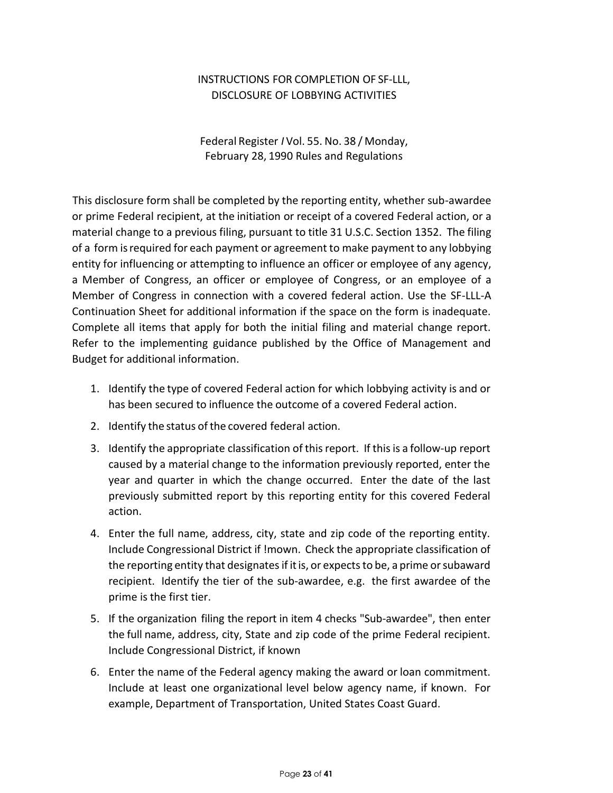# INSTRUCTIONS FOR COMPLETION OF SF-LLL, DISCLOSURE OF LOBBYING ACTIVITIES

Federal Register *I* Vol. 55. No. 38 / Monday, February 28, 1990 Rules and Regulations

This disclosure form shall be completed by the reporting entity, whether sub-awardee or prime Federal recipient, at the initiation or receipt of a covered Federal action, or a material change to a previous filing, pursuant to title 31 U.S.C. Section 1352. The filing of a form isrequired for each payment or agreement to make payment to any lobbying entity for influencing or attempting to influence an officer or employee of any agency, a Member of Congress, an officer or employee of Congress, or an employee of a Member of Congress in connection with a covered federal action. Use the SF-LLL-A Continuation Sheet for additional information if the space on the form is inadequate. Complete all items that apply for both the initial filing and material change report. Refer to the implementing guidance published by the Office of Management and Budget for additional information.

- 1. Identify the type of covered Federal action for which lobbying activity is and or has been secured to influence the outcome of a covered Federal action.
- 2. Identify the status of the covered federal action.
- 3. Identify the appropriate classification of this report. If this is a follow-up report caused by a material change to the information previously reported, enter the year and quarter in which the change occurred. Enter the date of the last previously submitted report by this reporting entity for this covered Federal action.
- 4. Enter the full name, address, city, state and zip code of the reporting entity. Include Congressional District if !mown. Check the appropriate classification of the reporting entity that designates if itis, or expects to be, a prime orsubaward recipient. Identify the tier of the sub-awardee, e.g. the first awardee of the prime is the first tier.
- 5. If the organization filing the report in item 4 checks "Sub-awardee", then enter the full name, address, city, State and zip code of the prime Federal recipient. Include Congressional District, if known
- 6. Enter the name of the Federal agency making the award or loan commitment. Include at least one organizational level below agency name, if known. For example, Department of Transportation, United States Coast Guard.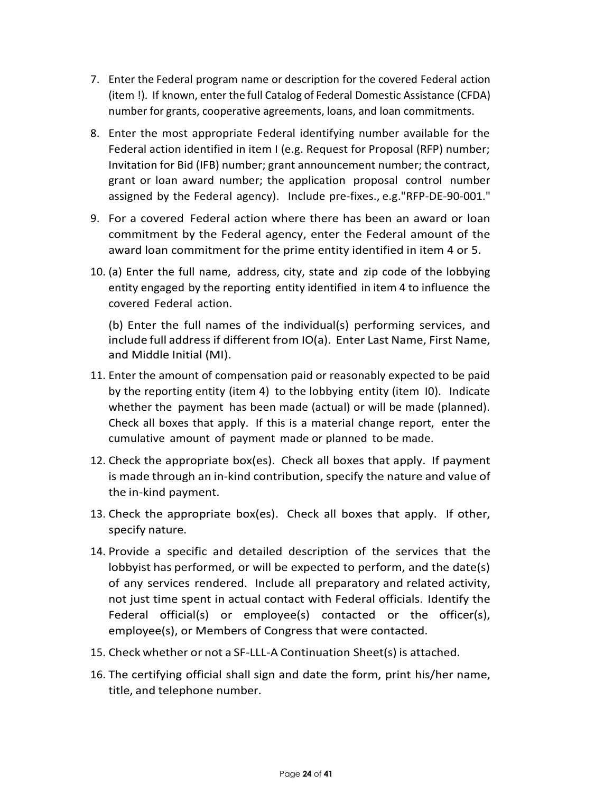- 7. Enter the Federal program name or description for the covered Federal action (item !). If known, enter the full Catalog of Federal Domestic Assistance (CFDA) number for grants, cooperative agreements, loans, and loan commitments.
- 8. Enter the most appropriate Federal identifying number available for the Federal action identified in item I (e.g. Request for Proposal (RFP) number; Invitation for Bid (IFB) number; grant announcement number; the contract, grant or loan award number; the application proposal control number assigned by the Federal agency). Include pre-fixes., e.g."RFP-DE-90-001."
- 9. For a covered Federal action where there has been an award or loan commitment by the Federal agency, enter the Federal amount of the award loan commitment for the prime entity identified in item 4 or 5.
- 10. (a) Enter the full name, address, city, state and zip code of the lobbying entity engaged by the reporting entity identified in item 4 to influence the covered Federal action.

(b) Enter the full names of the individual(s) performing services, and include full address if different from IO(a). Enter Last Name, First Name, and Middle Initial (MI).

- 11. Enter the amount of compensation paid or reasonably expected to be paid by the reporting entity (item 4) to the lobbying entity (item I0). Indicate whether the payment has been made (actual) or will be made (planned). Check all boxes that apply. If this is a material change report, enter the cumulative amount of payment made or planned to be made.
- 12. Check the appropriate box(es). Check all boxes that apply. If payment is made through an in-kind contribution, specify the nature and value of the in-kind payment.
- 13. Check the appropriate box(es). Check all boxes that apply. If other, specify nature.
- 14. Provide a specific and detailed description of the services that the lobbyist has performed, or will be expected to perform, and the date(s) of any services rendered. Include all preparatory and related activity, not just time spent in actual contact with Federal officials. Identify the Federal official(s) or employee(s) contacted or the officer(s), employee(s), or Members of Congress that were contacted.
- 15. Check whether or not a SF-LLL-A Continuation Sheet(s) is attached.
- 16. The certifying official shall sign and date the form, print his/her name, title, and telephone number.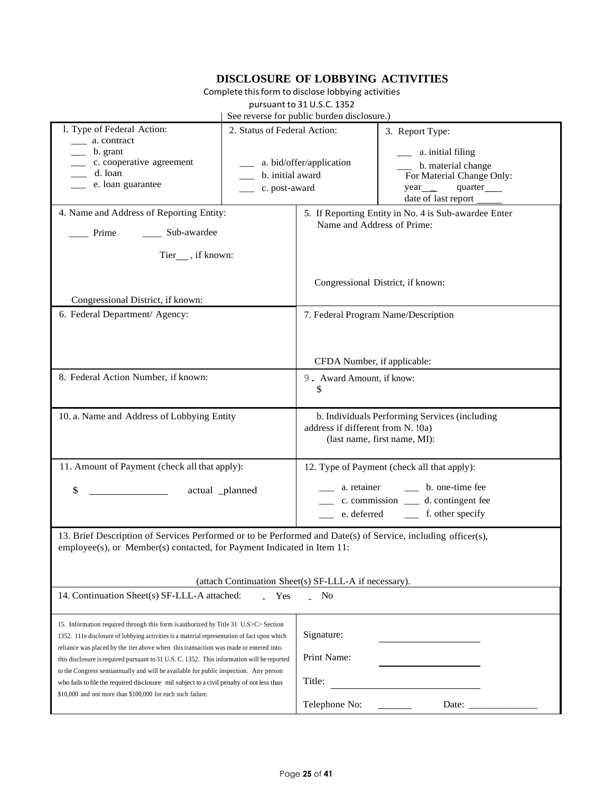# **DISCLOSURE OF LOBBYING ACTIVITIES**

Complete this form to disclose lobbying activities

pursuant to 31 U.S.C. 1352

|                                                                                                              |                  | $\sec$ reverse for public burden disclosure.)                                      |                                                |  |  |  |
|--------------------------------------------------------------------------------------------------------------|------------------|------------------------------------------------------------------------------------|------------------------------------------------|--|--|--|
| 1. Type of Federal Action:<br>2. Status of Federal Action:                                                   |                  | 3. Report Type:                                                                    |                                                |  |  |  |
| a. contract<br>b. grant                                                                                      |                  |                                                                                    | __ a. initial filing                           |  |  |  |
| c. cooperative agreement                                                                                     |                  | a. bid/offer/application                                                           | b. material change                             |  |  |  |
| d. loan                                                                                                      | b. initial award |                                                                                    | For Material Change Only:                      |  |  |  |
| e. loan guarantee                                                                                            | c. post-award    |                                                                                    | quarter____                                    |  |  |  |
|                                                                                                              |                  |                                                                                    | date of last report                            |  |  |  |
| 4. Name and Address of Reporting Entity:                                                                     |                  | 5. If Reporting Entity in No. 4 is Sub-awardee Enter<br>Name and Address of Prime: |                                                |  |  |  |
| _____ Sub-awardee<br>Prime                                                                                   |                  |                                                                                    |                                                |  |  |  |
| Tier_, if known:                                                                                             |                  |                                                                                    |                                                |  |  |  |
|                                                                                                              |                  |                                                                                    |                                                |  |  |  |
| Congressional District, if known:                                                                            |                  | Congressional District, if known:                                                  |                                                |  |  |  |
| 6. Federal Department/ Agency:                                                                               |                  |                                                                                    | 7. Federal Program Name/Description            |  |  |  |
|                                                                                                              |                  |                                                                                    |                                                |  |  |  |
|                                                                                                              |                  |                                                                                    |                                                |  |  |  |
|                                                                                                              |                  |                                                                                    |                                                |  |  |  |
|                                                                                                              |                  | CFDA Number, if applicable:                                                        |                                                |  |  |  |
| 8. Federal Action Number, if known:                                                                          |                  | 9. Award Amount, if know:                                                          |                                                |  |  |  |
|                                                                                                              |                  | S                                                                                  |                                                |  |  |  |
|                                                                                                              |                  |                                                                                    |                                                |  |  |  |
| 10. a. Name and Address of Lobbying Entity                                                                   |                  | b. Individuals Performing Services (including<br>address if different from N. !0a) |                                                |  |  |  |
|                                                                                                              |                  |                                                                                    |                                                |  |  |  |
|                                                                                                              |                  |                                                                                    | (last name, first name, MI):                   |  |  |  |
|                                                                                                              |                  |                                                                                    |                                                |  |  |  |
| 11. Amount of Payment (check all that apply):                                                                |                  |                                                                                    | 12. Type of Payment (check all that apply):    |  |  |  |
| \$                                                                                                           |                  | a. retainer                                                                        | b. one-time fee                                |  |  |  |
|                                                                                                              | actual _planned  |                                                                                    | ______ c. commission _______ d. contingent fee |  |  |  |
|                                                                                                              |                  |                                                                                    |                                                |  |  |  |
|                                                                                                              |                  |                                                                                    |                                                |  |  |  |
| 13. Brief Description of Services Performed or to be Performed and Date(s) of Service, including officer(s), |                  |                                                                                    |                                                |  |  |  |
| employee(s), or Member(s) contacted, for Payment Indicated in Item 11:                                       |                  |                                                                                    |                                                |  |  |  |
|                                                                                                              |                  |                                                                                    |                                                |  |  |  |
|                                                                                                              |                  |                                                                                    |                                                |  |  |  |
|                                                                                                              |                  | (attach Continuation Sheet(s) SF-LLL-A if necessary).                              |                                                |  |  |  |
| 14. Continuation Sheet(s) SF-LLL-A attached:                                                                 | Yes              | No                                                                                 |                                                |  |  |  |
|                                                                                                              |                  |                                                                                    |                                                |  |  |  |
| 15. Information required through this form is authorized by Title 31 U.S>C> Section                          |                  |                                                                                    |                                                |  |  |  |
| 1352. 111e disclosure of lobbying activities is a material representation of fact upon which                 |                  | Signature:                                                                         |                                                |  |  |  |
| reliance was placed by the tier above when this transaction was made or entered into.                        |                  |                                                                                    |                                                |  |  |  |
| this disclosure is required pursuant to 31 U.S. C. 1352. This information will be reported                   |                  | Print Name:                                                                        |                                                |  |  |  |
| to the Congress semiannually and will be available for public inspection. Any person                         |                  |                                                                                    |                                                |  |  |  |
| who fails to file the required disclosure mil subject to a civil penalty of not less than                    |                  | Title:                                                                             |                                                |  |  |  |
| \$10,000 and not more than \$100,000 for each such failure.                                                  |                  |                                                                                    |                                                |  |  |  |
|                                                                                                              |                  | Telephone No:                                                                      | Date:                                          |  |  |  |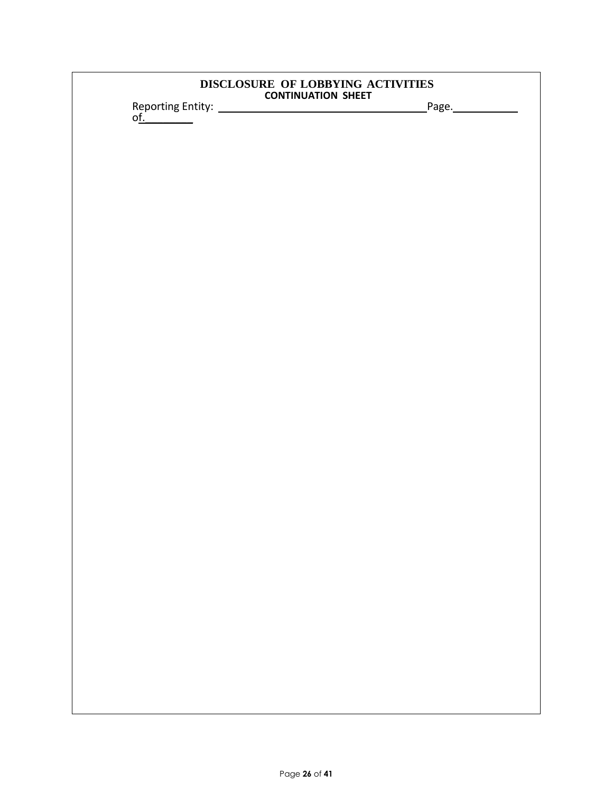| DISCLOSURE OF LOBBYING ACTIVITIES |  |
|-----------------------------------|--|
| <b>CONTINUATION SHEET</b>         |  |

Reporting Entity: Page. o<u>f.</u>\_\_\_\_\_\_\_\_\_\_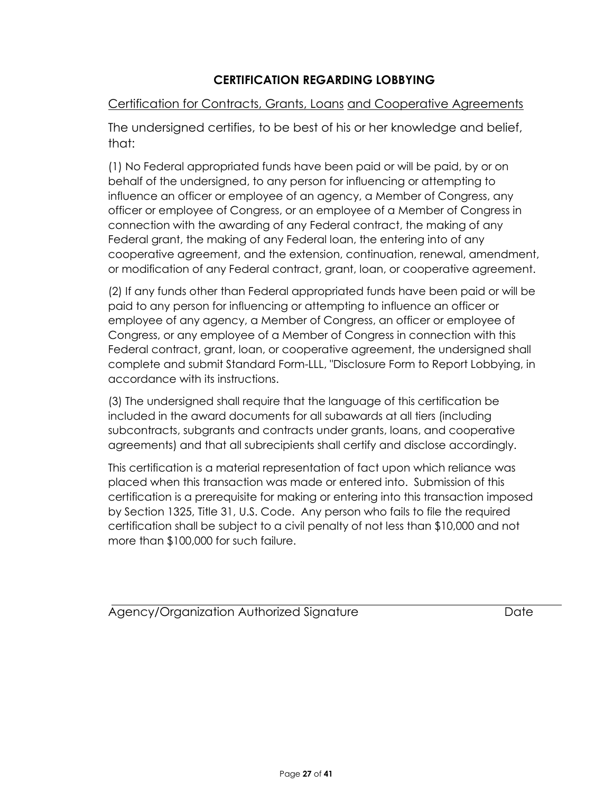# **CERTIFICATION REGARDING LOBBYING**

# Certification for Contracts, Grants, Loans and Cooperative Agreements

The undersigned certifies, to be best of his or her knowledge and belief, that:

(1) No Federal appropriated funds have been paid or will be paid, by or on behalf of the undersigned, to any person for influencing or attempting to influence an officer or employee of an agency, a Member of Congress, any officer or employee of Congress, or an employee of a Member of Congress in connection with the awarding of any Federal contract, the making of any Federal grant, the making of any Federal loan, the entering into of any cooperative agreement, and the extension, continuation, renewal, amendment, or modification of any Federal contract, grant, loan, or cooperative agreement.

(2) If any funds other than Federal appropriated funds have been paid or will be paid to any person for influencing or attempting to influence an officer or employee of any agency, a Member of Congress, an officer or employee of Congress, or any employee of a Member of Congress in connection with this Federal contract, grant, loan, or cooperative agreement, the undersigned shall complete and submit Standard Form-LLL, "Disclosure Form to Report Lobbying, in accordance with its instructions.

(3) The undersigned shall require that the language of this certification be included in the award documents for all subawards at all tiers (including subcontracts, subgrants and contracts under grants, loans, and cooperative agreements) and that all subrecipients shall certify and disclose accordingly.

This certification is a material representation of fact upon which reliance was placed when this transaction was made or entered into. Submission of this certification is a prerequisite for making or entering into this transaction imposed by Section 1325, Title 31, U.S. Code. Any person who fails to file the required certification shall be subject to a civil penalty of not less than \$10,000 and not more than \$100,000 for such failure.

Agency/Organization Authorized Signature **Date** Date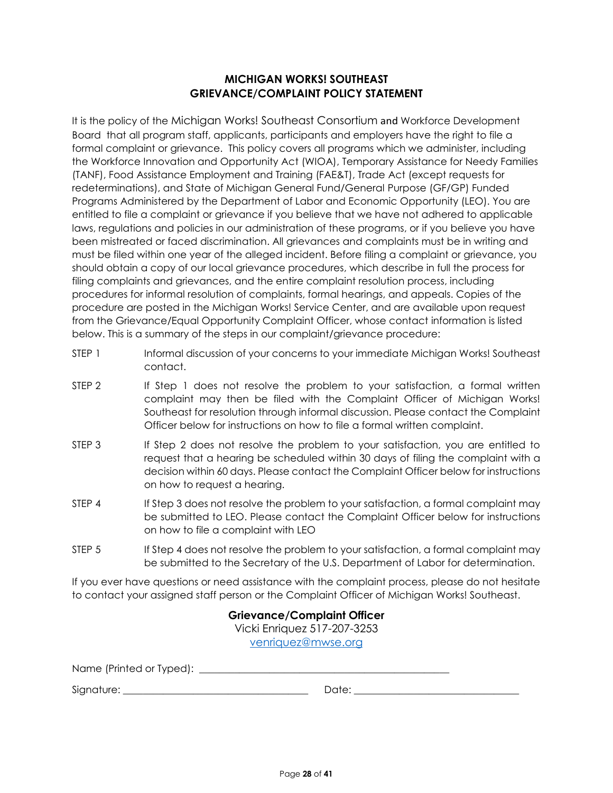# **MICHIGAN WORKS! SOUTHEAST GRIEVANCE/COMPLAINT POLICY STATEMENT**

It is the policy of the Michigan Works! Southeast Consortium and Workforce Development Board that all program staff, applicants, participants and employers have the right to file a formal complaint or grievance. This policy covers all programs which we administer, including the Workforce Innovation and Opportunity Act (WIOA), Temporary Assistance for Needy Families (TANF), Food Assistance Employment and Training (FAE&T), Trade Act (except requests for redeterminations), and State of Michigan General Fund/General Purpose (GF/GP) Funded Programs Administered by the Department of Labor and Economic Opportunity (LEO). You are entitled to file a complaint or grievance if you believe that we have not adhered to applicable laws, regulations and policies in our administration of these programs, or if you believe you have been mistreated or faced discrimination. All grievances and complaints must be in writing and must be filed within one year of the alleged incident. Before filing a complaint or grievance, you should obtain a copy of our local grievance procedures, which describe in full the process for filing complaints and grievances, and the entire complaint resolution process, including procedures for informal resolution of complaints, formal hearings, and appeals. Copies of the procedure are posted in the Michigan Works! Service Center, and are available upon request from the Grievance/Equal Opportunity Complaint Officer, whose contact information is listed below. This is a summary of the steps in our complaint/grievance procedure:

- STEP 1 Informal discussion of your concerns to your immediate Michigan Works! Southeast contact.
- STEP 2 If Step 1 does not resolve the problem to your satisfaction, a formal written complaint may then be filed with the Complaint Officer of Michigan Works! Southeast for resolution through informal discussion. Please contact the Complaint Officer below for instructions on how to file a formal written complaint.
- STEP 3 If Step 2 does not resolve the problem to your satisfaction, you are entitled to request that a hearing be scheduled within 30 days of filing the complaint with a decision within 60 days. Please contact the Complaint Officer below for instructions on how to request a hearing.
- STEP 4 If Step 3 does not resolve the problem to your satisfaction, a formal complaint may be submitted to LEO. Please contact the Complaint Officer below for instructions on how to file a complaint with LEO
- STEP 5 If Step 4 does not resolve the problem to your satisfaction, a formal complaint may be submitted to the Secretary of the U.S. Department of Labor for determination.

If you ever have questions or need assistance with the complaint process, please do not hesitate to contact your assigned staff person or the Complaint Officer of Michigan Works! Southeast.

> **Grievance/Complaint Officer** Vicki Enriquez 517-207-3253 [venriquez@mwse.org](mailto:venriquez@mwse.org)

Name (Printed or Typed): \_\_\_\_\_\_\_\_\_\_\_\_\_\_\_\_\_\_\_\_\_\_\_\_\_\_\_\_\_\_\_\_\_\_\_\_\_\_\_\_\_\_\_\_\_\_\_\_\_\_

Signature: \_\_\_\_\_\_\_\_\_\_\_\_\_\_\_\_\_\_\_\_\_\_\_\_\_\_\_\_\_\_\_\_\_\_\_\_\_ Date: \_\_\_\_\_\_\_\_\_\_\_\_\_\_\_\_\_\_\_\_\_\_\_\_\_\_\_\_\_\_\_\_\_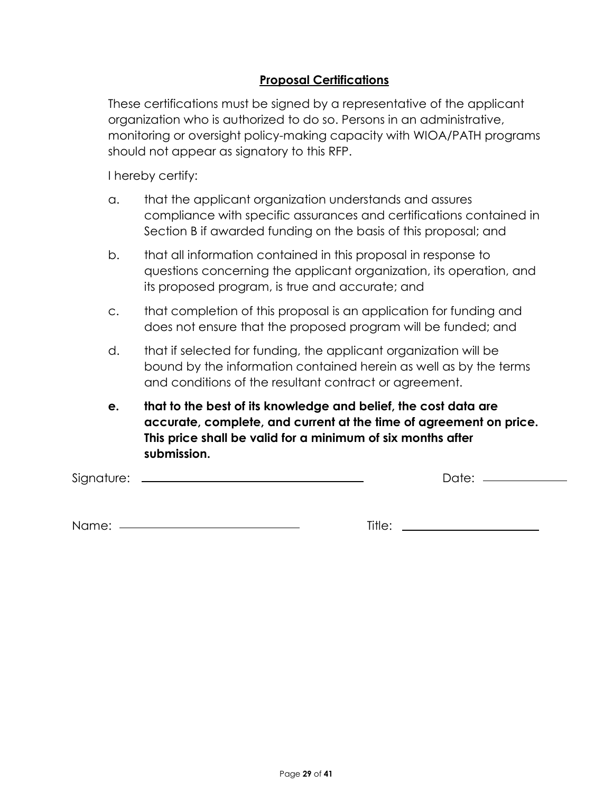# **Proposal Certifications**

These certifications must be signed by a representative of the applicant organization who is authorized to do so. Persons in an administrative, monitoring or oversight policy-making capacity with WIOA/PATH programs should not appear as signatory to this RFP.

I hereby certify:

- a. that the applicant organization understands and assures compliance with specific assurances and certifications contained in Section B if awarded funding on the basis of this proposal; and
- b. that all information contained in this proposal in response to questions concerning the applicant organization, its operation, and its proposed program, is true and accurate; and
- c. that completion of this proposal is an application for funding and does not ensure that the proposed program will be funded; and
- d. that if selected for funding, the applicant organization will be bound by the information contained herein as well as by the terms and conditions of the resultant contract or agreement.
- **e. that to the best of its knowledge and belief, the cost data are accurate, complete, and current at the time of agreement on price. This price shall be valid for a minimum of six months after submission.**

Signature: Date:

Name: Title: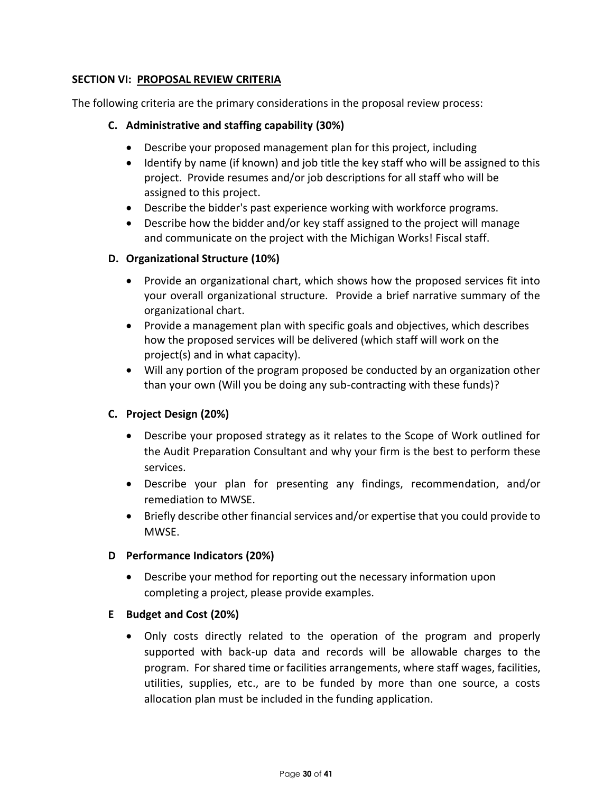# **SECTION VI: PROPOSAL REVIEW CRITERIA**

The following criteria are the primary considerations in the proposal review process:

# **C. Administrative and staffing capability (30%)**

- Describe your proposed management plan for this project, including
- Identify by name (if known) and job title the key staff who will be assigned to this project. Provide resumes and/or job descriptions for all staff who will be assigned to this project.
- Describe the bidder's past experience working with workforce programs.
- Describe how the bidder and/or key staff assigned to the project will manage and communicate on the project with the Michigan Works! Fiscal staff.

# **D. Organizational Structure (10%)**

- Provide an organizational chart, which shows how the proposed services fit into your overall organizational structure. Provide a brief narrative summary of the organizational chart.
- Provide a management plan with specific goals and objectives, which describes how the proposed services will be delivered (which staff will work on the project(s) and in what capacity).
- Will any portion of the program proposed be conducted by an organization other than your own (Will you be doing any sub-contracting with these funds)?

# **C. Project Design (20%)**

- Describe your proposed strategy as it relates to the Scope of Work outlined for the Audit Preparation Consultant and why your firm is the best to perform these services.
- Describe your plan for presenting any findings, recommendation, and/or remediation to MWSE.
- Briefly describe other financial services and/or expertise that you could provide to MWSE.

# **D Performance Indicators (20%)**

• Describe your method for reporting out the necessary information upon completing a project, please provide examples.

# **E Budget and Cost (20%)**

• Only costs directly related to the operation of the program and properly supported with back-up data and records will be allowable charges to the program. For shared time or facilities arrangements, where staff wages, facilities, utilities, supplies, etc., are to be funded by more than one source, a costs allocation plan must be included in the funding application.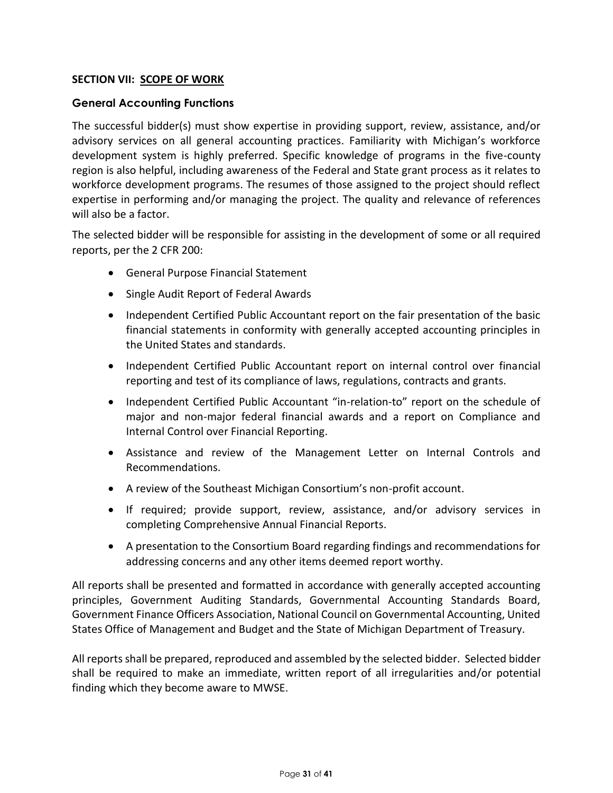# **SECTION VII: SCOPE OF WORK**

# **General Accounting Functions**

The successful bidder(s) must show expertise in providing support, review, assistance, and/or advisory services on all general accounting practices. Familiarity with Michigan's workforce development system is highly preferred. Specific knowledge of programs in the five-county region is also helpful, including awareness of the Federal and State grant process as it relates to workforce development programs. The resumes of those assigned to the project should reflect expertise in performing and/or managing the project. The quality and relevance of references will also be a factor.

The selected bidder will be responsible for assisting in the development of some or all required reports, per the 2 CFR 200:

- General Purpose Financial Statement
- Single Audit Report of Federal Awards
- Independent Certified Public Accountant report on the fair presentation of the basic financial statements in conformity with generally accepted accounting principles in the United States and standards.
- Independent Certified Public Accountant report on internal control over financial reporting and test of its compliance of laws, regulations, contracts and grants.
- Independent Certified Public Accountant "in-relation-to" report on the schedule of major and non-major federal financial awards and a report on Compliance and Internal Control over Financial Reporting.
- Assistance and review of the Management Letter on Internal Controls and Recommendations.
- A review of the Southeast Michigan Consortium's non-profit account.
- If required; provide support, review, assistance, and/or advisory services in completing Comprehensive Annual Financial Reports.
- A presentation to the Consortium Board regarding findings and recommendations for addressing concerns and any other items deemed report worthy.

All reports shall be presented and formatted in accordance with generally accepted accounting principles, Government Auditing Standards, Governmental Accounting Standards Board, Government Finance Officers Association, National Council on Governmental Accounting, United States Office of Management and Budget and the State of Michigan Department of Treasury.

All reports shall be prepared, reproduced and assembled by the selected bidder. Selected bidder shall be required to make an immediate, written report of all irregularities and/or potential finding which they become aware to MWSE.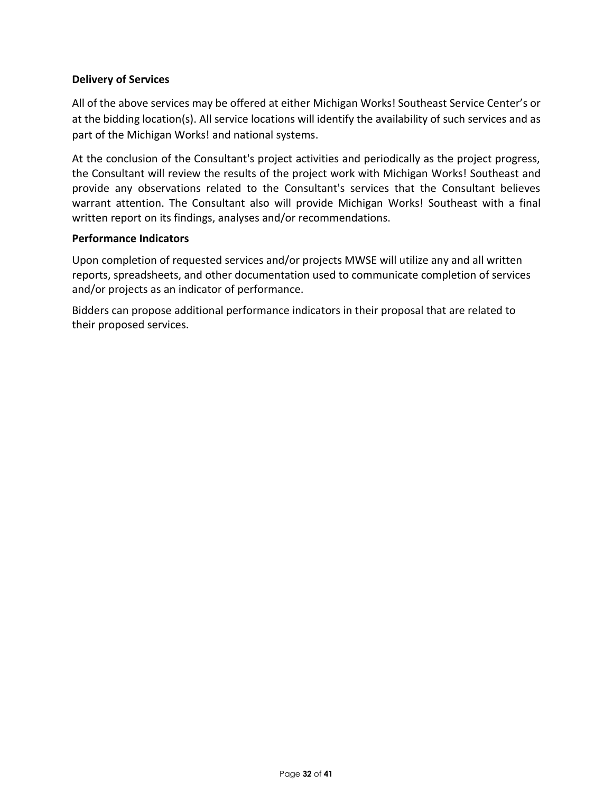# **Delivery of Services**

All of the above services may be offered at either Michigan Works! Southeast Service Center's or at the bidding location(s). All service locations will identify the availability of such services and as part of the Michigan Works! and national systems.

At the conclusion of the Consultant's project activities and periodically as the project progress, the Consultant will review the results of the project work with Michigan Works! Southeast and provide any observations related to the Consultant's services that the Consultant believes warrant attention. The Consultant also will provide Michigan Works! Southeast with a final written report on its findings, analyses and/or recommendations.

#### **Performance Indicators**

Upon completion of requested services and/or projects MWSE will utilize any and all written reports, spreadsheets, and other documentation used to communicate completion of services and/or projects as an indicator of performance.

Bidders can propose additional performance indicators in their proposal that are related to their proposed services.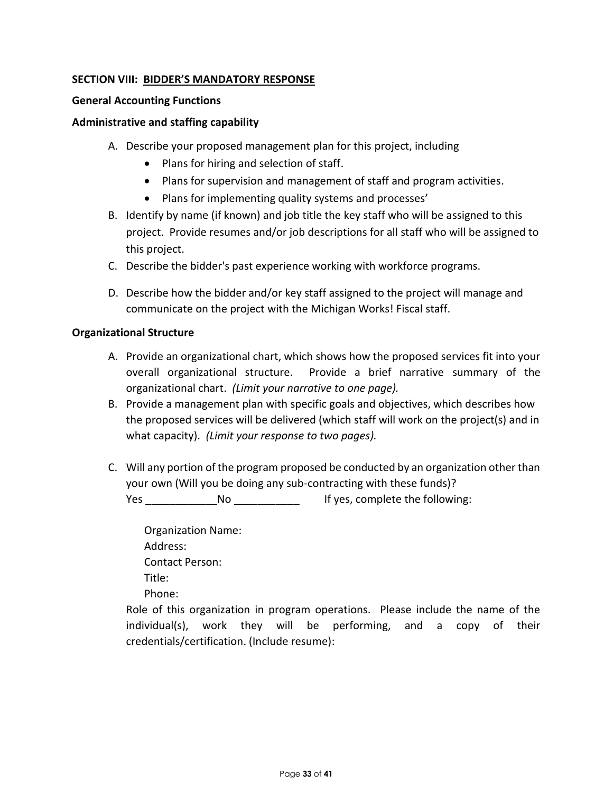# **SECTION VIII: BIDDER'S MANDATORY RESPONSE**

### **General Accounting Functions**

### **Administrative and staffing capability**

- A. Describe your proposed management plan for this project, including
	- Plans for hiring and selection of staff.
	- Plans for supervision and management of staff and program activities.
	- Plans for implementing quality systems and processes'
- B. Identify by name (if known) and job title the key staff who will be assigned to this project. Provide resumes and/or job descriptions for all staff who will be assigned to this project.
- C. Describe the bidder's past experience working with workforce programs.
- D. Describe how the bidder and/or key staff assigned to the project will manage and communicate on the project with the Michigan Works! Fiscal staff.

#### **Organizational Structure**

- A. Provide an organizational chart, which shows how the proposed services fit into your overall organizational structure. Provide a brief narrative summary of the organizational chart. *(Limit your narrative to one page).*
- B. Provide a management plan with specific goals and objectives, which describes how the proposed services will be delivered (which staff will work on the project(s) and in what capacity). *(Limit your response to two pages).*
- C. Will any portion of the program proposed be conducted by an organization other than your own (Will you be doing any sub-contracting with these funds)?

Yes \_\_\_\_\_\_\_\_\_\_\_\_No \_\_\_\_\_\_\_\_\_\_\_\_\_\_\_\_\_\_\_\_ If yes, complete the following:

Organization Name: Address: Contact Person: Title: Phone:

Role of this organization in program operations. Please include the name of the individual(s), work they will be performing, and a copy of their credentials/certification. (Include resume):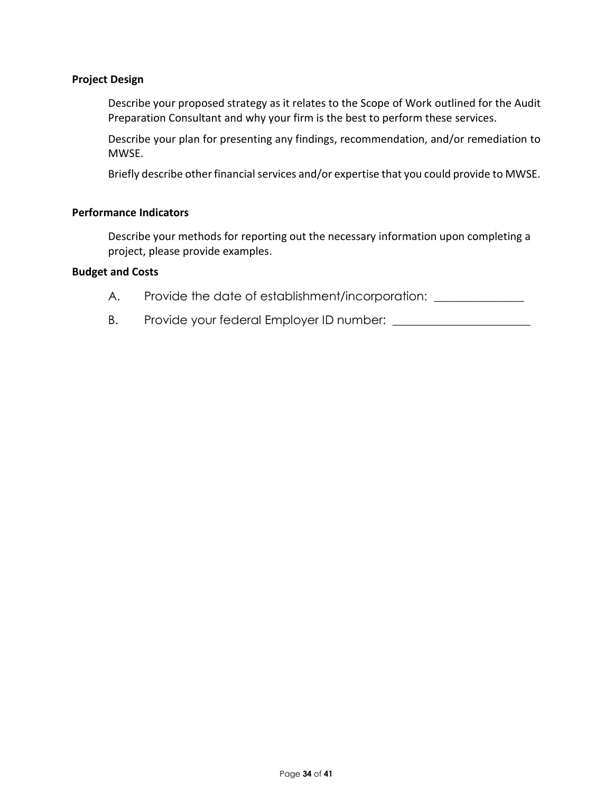### **Project Design**

Describe your proposed strategy as it relates to the Scope of Work outlined for the Audit Preparation Consultant and why your firm is the best to perform these services.

Describe your plan for presenting any findings, recommendation, and/or remediation to MWSE.

Briefly describe other financial services and/or expertise that you could provide to MWSE.

#### **Performance Indicators**

Describe your methods for reporting out the necessary information upon completing a project, please provide examples.

# **Budget and Costs**

A. Provide the date of establishment/incorporation: \_\_\_\_\_\_\_\_\_\_\_\_\_\_\_\_\_\_\_\_\_\_\_\_\_\_\_\_

B. Provide your federal Employer ID number: \_\_\_\_\_\_\_\_\_\_\_\_\_\_\_\_\_\_\_\_\_\_\_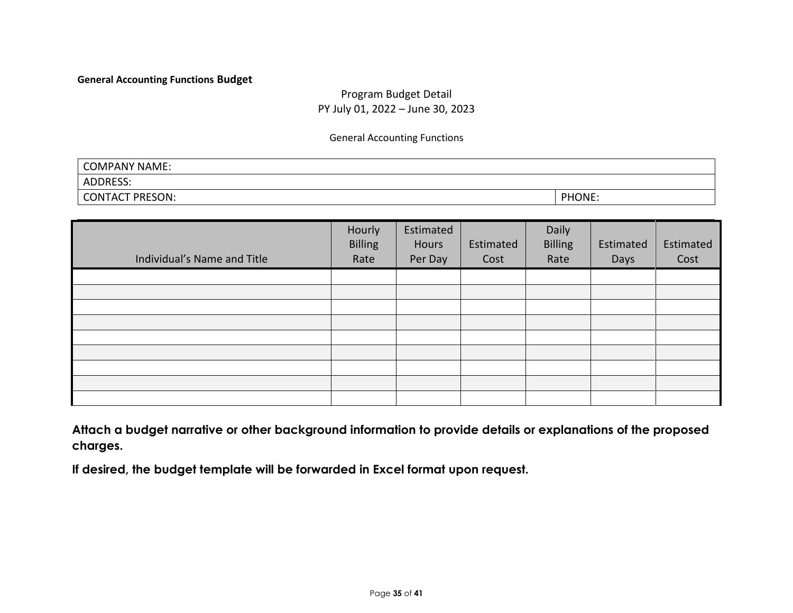#### **General Accounting Functions Budget**

# Program Budget Detail PY July 01, 2022 – June 30, 2023

General Accounting Functions

| COMPANY NAME:      |        |
|--------------------|--------|
| ADDRESS:           |        |
| PRESON:<br>CONTACT | PHONE: |

| Individual's Name and Title | Hourly<br><b>Billing</b><br>Rate | Estimated<br>Hours<br>Per Day | Estimated<br>Cost | Daily<br><b>Billing</b><br>Rate | Estimated<br>Days | Estimated<br>Cost |
|-----------------------------|----------------------------------|-------------------------------|-------------------|---------------------------------|-------------------|-------------------|
|                             |                                  |                               |                   |                                 |                   |                   |
|                             |                                  |                               |                   |                                 |                   |                   |
|                             |                                  |                               |                   |                                 |                   |                   |
|                             |                                  |                               |                   |                                 |                   |                   |
|                             |                                  |                               |                   |                                 |                   |                   |
|                             |                                  |                               |                   |                                 |                   |                   |
|                             |                                  |                               |                   |                                 |                   |                   |
|                             |                                  |                               |                   |                                 |                   |                   |
|                             |                                  |                               |                   |                                 |                   |                   |

**Attach a budget narrative or other background information to provide details or explanations of the proposed charges.**

**If desired, the budget template will be forwarded in Excel format upon request.**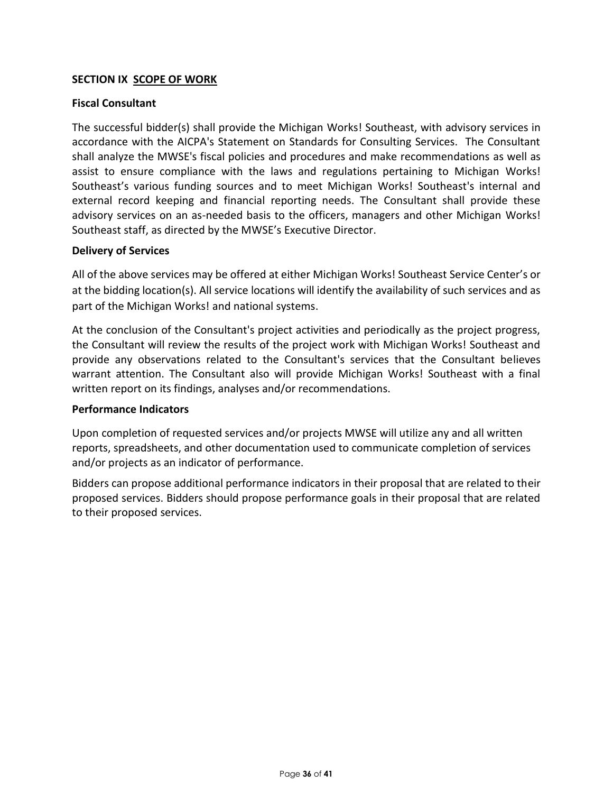# **SECTION IX SCOPE OF WORK**

# **Fiscal Consultant**

The successful bidder(s) shall provide the Michigan Works! Southeast, with advisory services in accordance with the AICPA's Statement on Standards for Consulting Services. The Consultant shall analyze the MWSE's fiscal policies and procedures and make recommendations as well as assist to ensure compliance with the laws and regulations pertaining to Michigan Works! Southeast's various funding sources and to meet Michigan Works! Southeast's internal and external record keeping and financial reporting needs. The Consultant shall provide these advisory services on an as-needed basis to the officers, managers and other Michigan Works! Southeast staff, as directed by the MWSE's Executive Director.

#### **Delivery of Services**

All of the above services may be offered at either Michigan Works! Southeast Service Center's or at the bidding location(s). All service locations will identify the availability of such services and as part of the Michigan Works! and national systems.

At the conclusion of the Consultant's project activities and periodically as the project progress, the Consultant will review the results of the project work with Michigan Works! Southeast and provide any observations related to the Consultant's services that the Consultant believes warrant attention. The Consultant also will provide Michigan Works! Southeast with a final written report on its findings, analyses and/or recommendations.

#### **Performance Indicators**

Upon completion of requested services and/or projects MWSE will utilize any and all written reports, spreadsheets, and other documentation used to communicate completion of services and/or projects as an indicator of performance.

Bidders can propose additional performance indicators in their proposal that are related to their proposed services. Bidders should propose performance goals in their proposal that are related to their proposed services.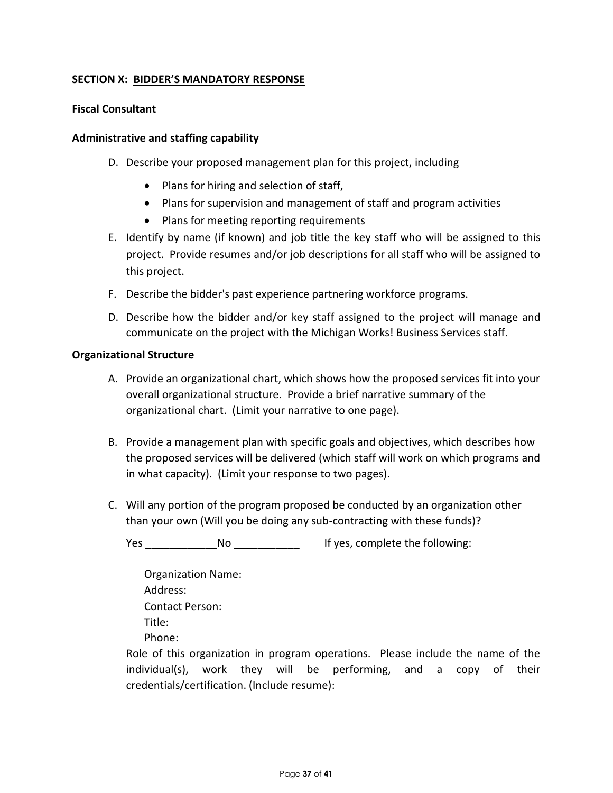# **SECTION X: BIDDER'S MANDATORY RESPONSE**

### **Fiscal Consultant**

#### **Administrative and staffing capability**

- D. Describe your proposed management plan for this project, including
	- Plans for hiring and selection of staff,
	- Plans for supervision and management of staff and program activities
	- Plans for meeting reporting requirements
- E. Identify by name (if known) and job title the key staff who will be assigned to this project. Provide resumes and/or job descriptions for all staff who will be assigned to this project.
- F. Describe the bidder's past experience partnering workforce programs.
- D. Describe how the bidder and/or key staff assigned to the project will manage and communicate on the project with the Michigan Works! Business Services staff.

#### **Organizational Structure**

- A. Provide an organizational chart, which shows how the proposed services fit into your overall organizational structure. Provide a brief narrative summary of the organizational chart. (Limit your narrative to one page).
- B. Provide a management plan with specific goals and objectives, which describes how the proposed services will be delivered (which staff will work on which programs and in what capacity). (Limit your response to two pages).
- C. Will any portion of the program proposed be conducted by an organization other than your own (Will you be doing any sub-contracting with these funds)?

Yes Mo No Res Resetting the SND Ves, complete the following:

Organization Name: Address: Contact Person: Title: Phone:

Role of this organization in program operations. Please include the name of the individual(s), work they will be performing, and a copy of their credentials/certification. (Include resume):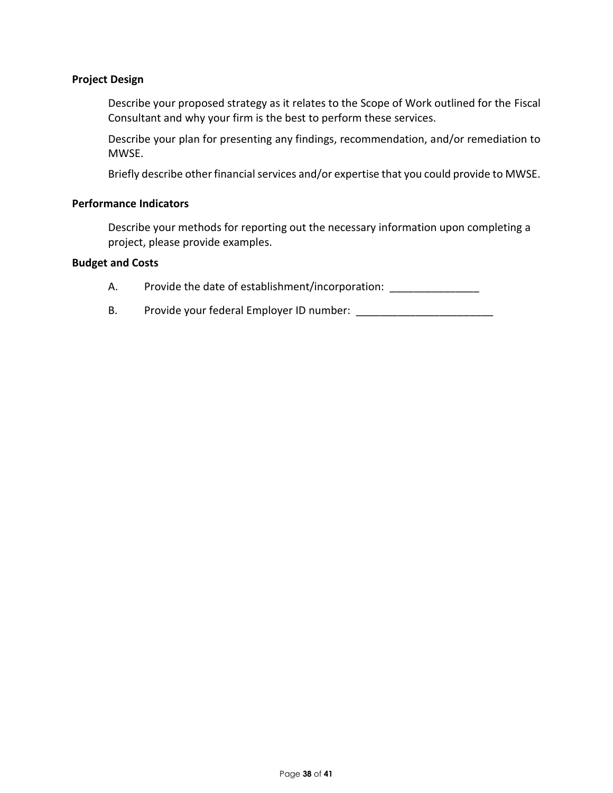### **Project Design**

Describe your proposed strategy as it relates to the Scope of Work outlined for the Fiscal Consultant and why your firm is the best to perform these services.

Describe your plan for presenting any findings, recommendation, and/or remediation to MWSE.

Briefly describe other financial services and/or expertise that you could provide to MWSE.

#### **Performance Indicators**

Describe your methods for reporting out the necessary information upon completing a project, please provide examples.

#### **Budget and Costs**

- A. Provide the date of establishment/incorporation:
- B. Provide your federal Employer ID number: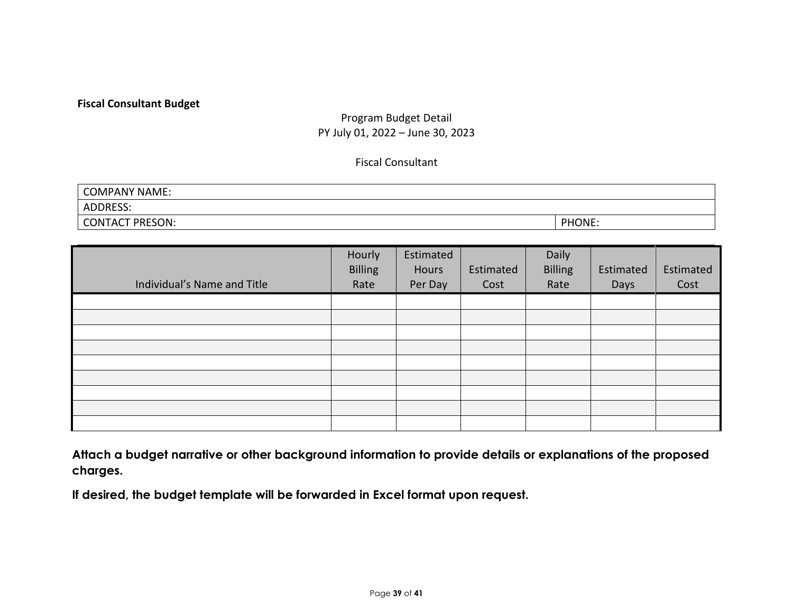# **Fiscal Consultant Budget**

# Program Budget Detail PY July 01, 2022 – June 30, 2023

# Fiscal Consultant

| <b>COMPANY NAME:</b>   |        |
|------------------------|--------|
| <b>ADDRESS:</b>        |        |
| <b>CONTACT PRESON:</b> | PHONE: |

| Individual's Name and Title | Hourly<br><b>Billing</b><br>Rate | Estimated<br>Hours<br>Per Day | Estimated<br>Cost | Daily<br><b>Billing</b><br>Rate | Estimated<br>Days | Estimated<br>Cost |
|-----------------------------|----------------------------------|-------------------------------|-------------------|---------------------------------|-------------------|-------------------|
|                             |                                  |                               |                   |                                 |                   |                   |
|                             |                                  |                               |                   |                                 |                   |                   |
|                             |                                  |                               |                   |                                 |                   |                   |
|                             |                                  |                               |                   |                                 |                   |                   |
|                             |                                  |                               |                   |                                 |                   |                   |
|                             |                                  |                               |                   |                                 |                   |                   |
|                             |                                  |                               |                   |                                 |                   |                   |
|                             |                                  |                               |                   |                                 |                   |                   |
|                             |                                  |                               |                   |                                 |                   |                   |

**Attach a budget narrative or other background information to provide details or explanations of the proposed charges.**

**If desired, the budget template will be forwarded in Excel format upon request.**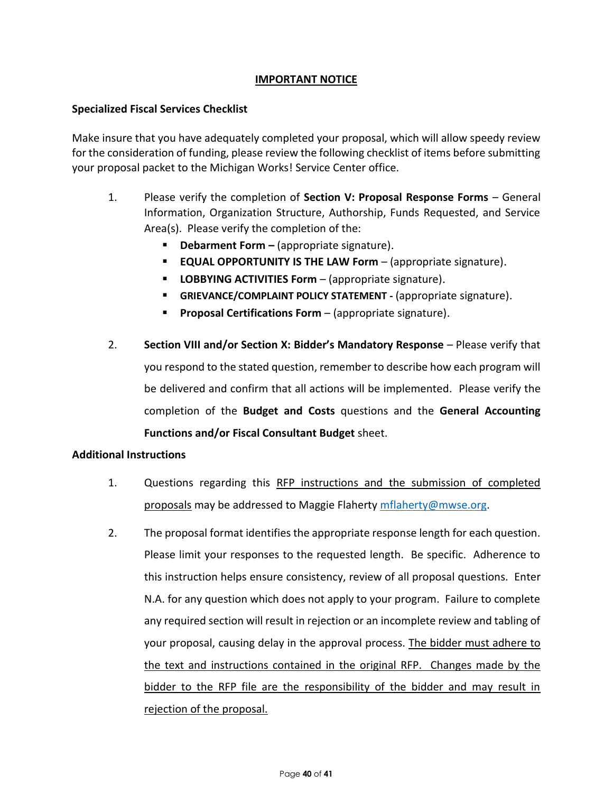# **IMPORTANT NOTICE**

# **Specialized Fiscal Services Checklist**

Make insure that you have adequately completed your proposal, which will allow speedy review for the consideration of funding, please review the following checklist of items before submitting your proposal packet to the Michigan Works! Service Center office.

- 1. Please verify the completion of **Section V: Proposal Response Forms** General Information, Organization Structure, Authorship, Funds Requested, and Service Area(s). Please verify the completion of the:
	- **Debarment Form** (appropriate signature).
	- **EQUAL OPPORTUNITY IS THE LAW Form**  (appropriate signature).
	- **LOBBYING ACTIVITIES Form** (appropriate signature).
	- **GRIEVANCE/COMPLAINT POLICY STATEMENT -** (appropriate signature).
	- **Proposal Certifications Form** (appropriate signature).
- 2. **Section VIII and/or Section X: Bidder's Mandatory Response**  Please verify that you respond to the stated question, remember to describe how each program will be delivered and confirm that all actions will be implemented. Please verify the completion of the **Budget and Costs** questions and the **General Accounting Functions and/or Fiscal Consultant Budget** sheet.

#### **Additional Instructions**

- 1. Questions regarding this RFP instructions and the submission of completed proposals may be addressed to Maggie Flaherty [mflaherty@mwse.org.](mailto:mflaherty@mwse.org)
- 2. The proposal format identifies the appropriate response length for each question. Please limit your responses to the requested length. Be specific. Adherence to this instruction helps ensure consistency, review of all proposal questions. Enter N.A. for any question which does not apply to your program. Failure to complete any required section will result in rejection or an incomplete review and tabling of your proposal, causing delay in the approval process. The bidder must adhere to the text and instructions contained in the original RFP. Changes made by the bidder to the RFP file are the responsibility of the bidder and may result in rejection of the proposal.